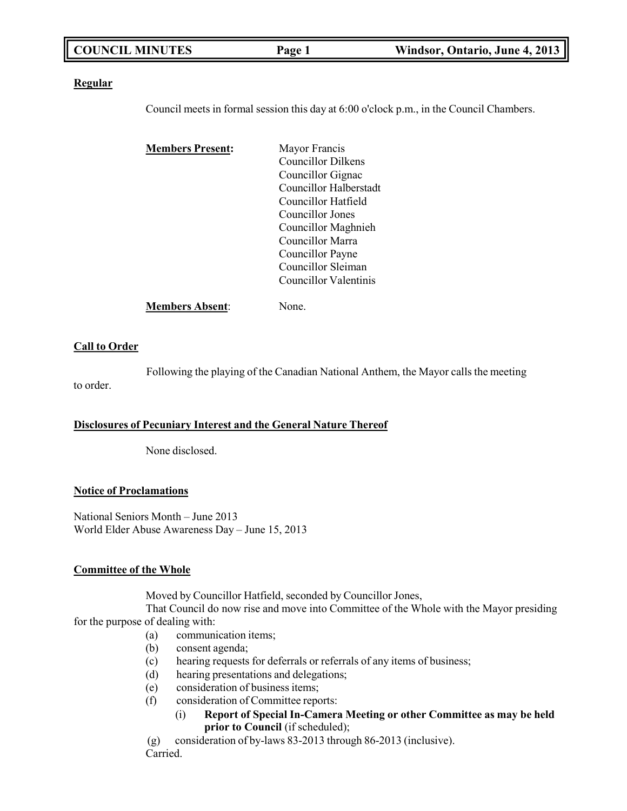| <b>COUNCIL MINUTES</b> | Page 1 | Windsor, Ontario, June 4, 2013 |
|------------------------|--------|--------------------------------|
|                        |        |                                |

### **Regular**

Council meets in formal session this day at 6:00 o'clock p.m., in the Council Chambers.

| <b>Members Present:</b> | Mayor Francis          |
|-------------------------|------------------------|
|                         | Councillor Dilkens     |
|                         | Councillor Gignac      |
|                         | Councillor Halberstadt |
|                         | Councillor Hatfield    |
|                         | Councillor Jones       |
|                         | Councillor Maghnieh    |
|                         | Councillor Marra       |
|                         | Councillor Payne       |
|                         | Councillor Sleiman     |
|                         | Councillor Valentinis  |
| <b>Members Absent:</b>  | None.                  |

### **Call to Order**

Following the playing of the Canadian National Anthem, the Mayor calls the meeting to order.

### **Disclosures of Pecuniary Interest and the General Nature Thereof**

None disclosed.

### **Notice of Proclamations**

National Seniors Month – June 2013 World Elder Abuse Awareness Day – June 15, 2013

### **Committee of the Whole**

Moved by Councillor Hatfield, seconded by Councillor Jones,

That Council do now rise and move into Committee of the Whole with the Mayor presiding for the purpose of dealing with:

- (a) communication items;
- (b) consent agenda;
- (c) hearing requests for deferrals or referrals of any items of business;
- (d) hearing presentations and delegations;
- (e) consideration of business items;
- (f) consideration of Committee reports:
	- (i) **Report of Special In-Camera Meeting or other Committee as may be held prior to Council** (if scheduled);

(g) consideration of by-laws 83-2013 through 86-2013 (inclusive). Carried.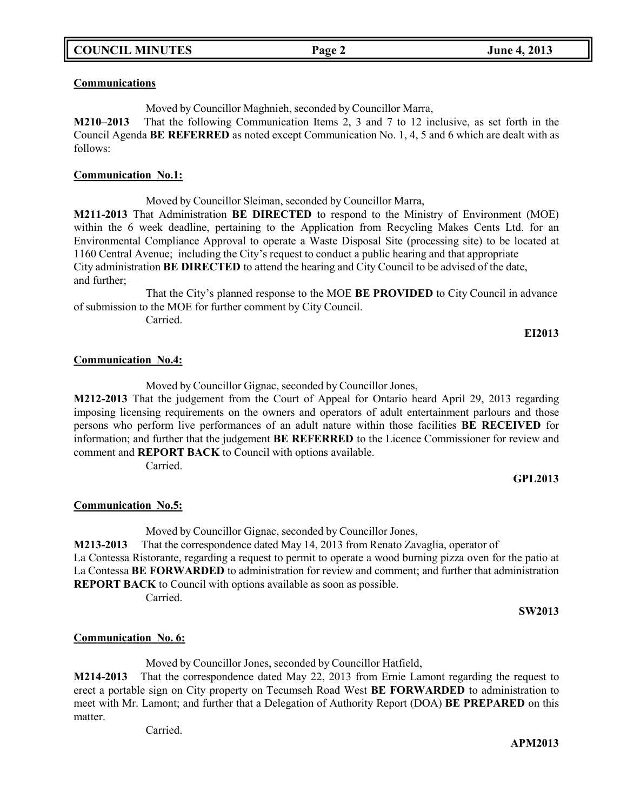### **Communications**

Moved by Councillor Maghnieh, seconded by Councillor Marra,

**M210–2013** That the following Communication Items 2, 3 and 7 to 12 inclusive, as set forth in the Council Agenda **BE REFERRED** as noted except Communication No. 1, 4, 5 and 6 which are dealt with as follows:

### **Communication No.1:**

Moved by Councillor Sleiman, seconded by Councillor Marra, **M211-2013** That Administration **BE DIRECTED** to respond to the Ministry of Environment (MOE) within the 6 week deadline, pertaining to the Application from Recycling Makes Cents Ltd. for an Environmental Compliance Approval to operate a Waste Disposal Site (processing site) to be located at 1160 Central Avenue; including the City's request to conduct a public hearing and that appropriate City administration **BE DIRECTED** to attend the hearing and City Council to be advised of the date, and further;

That the City's planned response to the MOE **BE PROVIDED** to City Council in advance of submission to the MOE for further comment by City Council.

Carried.

### **EI2013**

### **Communication No.4:**

Moved by Councillor Gignac, seconded by Councillor Jones,

**M212-2013** That the judgement from the Court of Appeal for Ontario heard April 29, 2013 regarding imposing licensing requirements on the owners and operators of adult entertainment parlours and those persons who perform live performances of an adult nature within those facilities **BE RECEIVED** for information; and further that the judgement **BE REFERRED** to the Licence Commissioner for review and comment and **REPORT BACK** to Council with options available. Carried.

# **GPL2013**

## **Communication No.5:**

Moved by Councillor Gignac, seconded by Councillor Jones, **M213-2013** That the correspondence dated May 14, 2013 from Renato Zavaglia, operator of La Contessa Ristorante, regarding a request to permit to operate a wood burning pizza oven for the patio at La Contessa **BE FORWARDED** to administration for review and comment; and further that administration **REPORT BACK** to Council with options available as soon as possible.

Carried.

**SW2013**

## **Communication No. 6:**

Moved by Councillor Jones, seconded by Councillor Hatfield,

**M214-2013** That the correspondence dated May 22, 2013 from Ernie Lamont regarding the request to erect a portable sign on City property on Tecumseh Road West **BE FORWARDED** to administration to meet with Mr. Lamont; and further that a Delegation of Authority Report (DOA) **BE PREPARED** on this matter.

Carried.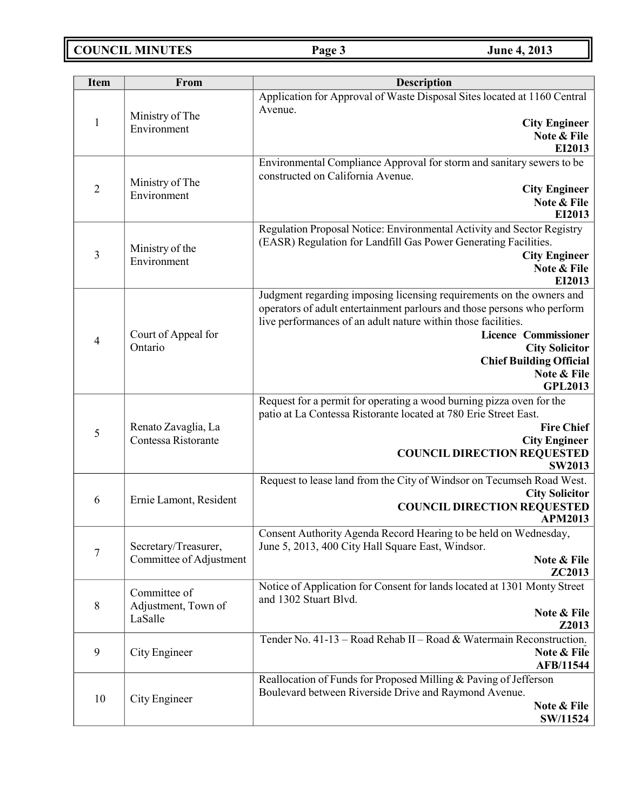**COUNCIL MINUTES Page 3 June 4, 2013**

| <b>Item</b>    | From                           | Description                                                                                       |  |
|----------------|--------------------------------|---------------------------------------------------------------------------------------------------|--|
|                |                                | Application for Approval of Waste Disposal Sites located at 1160 Central<br>Avenue.               |  |
| $\mathbf{1}$   | Ministry of The<br>Environment | <b>City Engineer</b>                                                                              |  |
|                |                                | Note & File                                                                                       |  |
|                |                                | EI2013                                                                                            |  |
|                |                                | Environmental Compliance Approval for storm and sanitary sewers to be                             |  |
| $\overline{2}$ | Ministry of The                | constructed on California Avenue.                                                                 |  |
|                | Environment                    | <b>City Engineer</b><br>Note & File                                                               |  |
|                |                                | EI2013                                                                                            |  |
|                |                                | Regulation Proposal Notice: Environmental Activity and Sector Registry                            |  |
|                |                                | (EASR) Regulation for Landfill Gas Power Generating Facilities.                                   |  |
| 3              | Ministry of the<br>Environment | <b>City Engineer</b>                                                                              |  |
|                |                                | Note & File                                                                                       |  |
|                |                                | EI2013                                                                                            |  |
|                |                                | Judgment regarding imposing licensing requirements on the owners and                              |  |
|                |                                | operators of adult entertainment parlours and those persons who perform                           |  |
|                |                                | live performances of an adult nature within those facilities.<br><b>Licence Commissioner</b>      |  |
| $\overline{4}$ | Court of Appeal for<br>Ontario | <b>City Solicitor</b>                                                                             |  |
|                |                                | <b>Chief Building Official</b>                                                                    |  |
|                |                                | Note & File                                                                                       |  |
|                |                                | <b>GPL2013</b>                                                                                    |  |
|                |                                | Request for a permit for operating a wood burning pizza oven for the                              |  |
|                |                                | patio at La Contessa Ristorante located at 780 Erie Street East.                                  |  |
| 5              | Renato Zavaglia, La            | <b>Fire Chief</b>                                                                                 |  |
|                | Contessa Ristorante            | <b>City Engineer</b>                                                                              |  |
|                |                                | <b>COUNCIL DIRECTION REQUESTED</b><br><b>SW2013</b>                                               |  |
|                |                                | Request to lease land from the City of Windsor on Tecumseh Road West.                             |  |
|                |                                | <b>City Solicitor</b>                                                                             |  |
| 6              | Ernie Lamont, Resident         | <b>COUNCIL DIRECTION REQUESTED</b>                                                                |  |
|                |                                | <b>APM2013</b>                                                                                    |  |
|                |                                | Consent Authority Agenda Record Hearing to be held on Wednesday,                                  |  |
| 7              | Secretary/Treasurer,           | June 5, 2013, 400 City Hall Square East, Windsor.                                                 |  |
|                | Committee of Adjustment        | Note & File                                                                                       |  |
|                |                                | ZC2013                                                                                            |  |
|                | Committee of                   | Notice of Application for Consent for lands located at 1301 Monty Street<br>and 1302 Stuart Blvd. |  |
| $8\,$          | Adjustment, Town of            | Note & File                                                                                       |  |
|                | LaSalle                        | Z2013                                                                                             |  |
|                |                                | Tender No. 41-13 - Road Rehab II - Road & Watermain Reconstruction.                               |  |
| 9              | City Engineer                  | Note & File                                                                                       |  |
|                |                                | AFB/11544                                                                                         |  |
|                |                                | Reallocation of Funds for Proposed Milling & Paving of Jefferson                                  |  |
| 10             | City Engineer                  | Boulevard between Riverside Drive and Raymond Avenue.                                             |  |
|                |                                | Note & File                                                                                       |  |
|                |                                | SW/11524                                                                                          |  |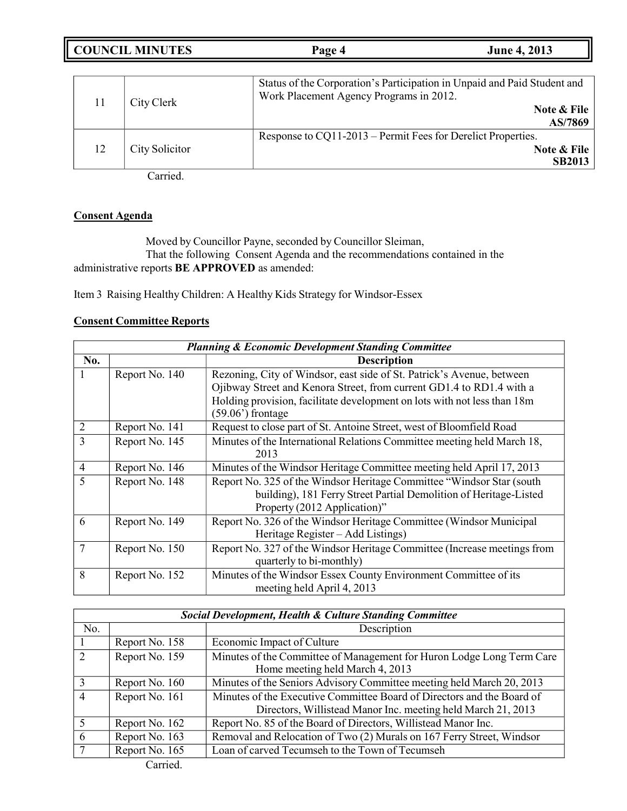**COUNCIL MINUTES Page 4 June 4, 2013**

|    | City Clerk     | Status of the Corporation's Participation in Unpaid and Paid Student and<br>Work Placement Agency Programs in 2012.<br>Note & File<br>AS/7869 |
|----|----------------|-----------------------------------------------------------------------------------------------------------------------------------------------|
| 12 | City Solicitor | Response to CQ11-2013 – Permit Fees for Derelict Properties.<br>Note & File<br><b>SB2013</b>                                                  |

Carried.

## **Consent Agenda**

Moved by Councillor Payne, seconded by Councillor Sleiman, That the following Consent Agenda and the recommendations contained in the administrative reports **BE APPROVED** as amended:

Item 3 Raising Healthy Children: A Healthy Kids Strategy for Windsor-Essex

## **Consent Committee Reports**

| <b>Planning &amp; Economic Development Standing Committee</b> |                |                                                                                                |
|---------------------------------------------------------------|----------------|------------------------------------------------------------------------------------------------|
| No.                                                           |                | <b>Description</b>                                                                             |
| 1                                                             | Report No. 140 | Rezoning, City of Windsor, east side of St. Patrick's Avenue, between                          |
|                                                               |                | Ojibway Street and Kenora Street, from current GD1.4 to RD1.4 with a                           |
|                                                               |                | Holding provision, facilitate development on lots with not less than 18m<br>$(59.06)$ frontage |
| $\overline{2}$                                                | Report No. 141 | Request to close part of St. Antoine Street, west of Bloomfield Road                           |
| 3                                                             | Report No. 145 | Minutes of the International Relations Committee meeting held March 18,                        |
|                                                               |                | 2013                                                                                           |
| $\overline{4}$                                                | Report No. 146 | Minutes of the Windsor Heritage Committee meeting held April 17, 2013                          |
| 5                                                             | Report No. 148 | Report No. 325 of the Windsor Heritage Committee "Windsor Star (south                          |
|                                                               |                | building), 181 Ferry Street Partial Demolition of Heritage-Listed                              |
|                                                               |                | Property (2012 Application)"                                                                   |
| 6                                                             | Report No. 149 | Report No. 326 of the Windsor Heritage Committee (Windsor Municipal                            |
|                                                               |                | Heritage Register – Add Listings)                                                              |
| 7                                                             | Report No. 150 | Report No. 327 of the Windsor Heritage Committee (Increase meetings from                       |
|                                                               |                | quarterly to bi-monthly)                                                                       |
| 8                                                             | Report No. 152 | Minutes of the Windsor Essex County Environment Committee of its                               |
|                                                               |                | meeting held April 4, 2013                                                                     |

| Social Development, Health & Culture Standing Committee |                |                                                                                                                                        |
|---------------------------------------------------------|----------------|----------------------------------------------------------------------------------------------------------------------------------------|
| No.                                                     |                | Description                                                                                                                            |
|                                                         | Report No. 158 | Economic Impact of Culture                                                                                                             |
|                                                         | Report No. 159 | Minutes of the Committee of Management for Huron Lodge Long Term Care<br>Home meeting held March 4, 2013                               |
|                                                         | Report No. 160 | Minutes of the Seniors Advisory Committee meeting held March 20, 2013                                                                  |
| 4                                                       | Report No. 161 | Minutes of the Executive Committee Board of Directors and the Board of<br>Directors, Willistead Manor Inc. meeting held March 21, 2013 |
|                                                         | Report No. 162 | Report No. 85 of the Board of Directors, Willistead Manor Inc.                                                                         |
| 6                                                       | Report No. 163 | Removal and Relocation of Two (2) Murals on 167 Ferry Street, Windsor                                                                  |
|                                                         | Report No. 165 | Loan of carved Tecumseh to the Town of Tecumseh                                                                                        |
|                                                         | Carried.       |                                                                                                                                        |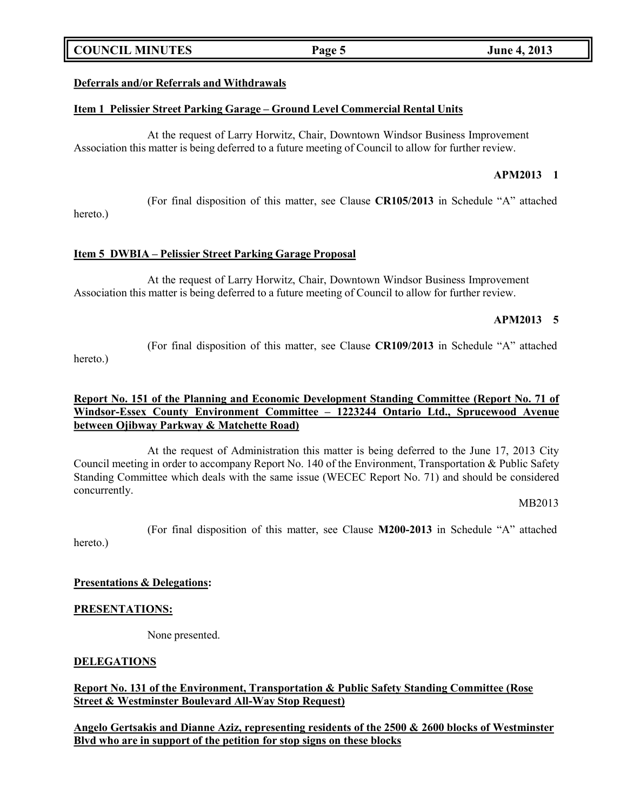## **COUNCIL MINUTES Page 5 June 4, 2013**

### **Deferrals and/or Referrals and Withdrawals**

### **Item 1 Pelissier Street Parking Garage – Ground Level Commercial Rental Units**

At the request of Larry Horwitz, Chair, Downtown Windsor Business Improvement Association this matter is being deferred to a future meeting of Council to allow for further review.

## **APM2013 1**

(For final disposition of this matter, see Clause **CR105/2013** in Schedule "A" attached

hereto.)

### **Item 5 DWBIA – Pelissier Street Parking Garage Proposal**

At the request of Larry Horwitz, Chair, Downtown Windsor Business Improvement Association this matter is being deferred to a future meeting of Council to allow for further review.

### **APM2013 5**

(For final disposition of this matter, see Clause **CR109/2013** in Schedule "A" attached hereto.)

## **Report No. 151 of the Planning and Economic Development Standing Committee (Report No. 71 of Windsor-Essex County Environment Committee – 1223244 Ontario Ltd., Sprucewood Avenue between Ojibway Parkway & Matchette Road)**

At the request of Administration this matter is being deferred to the June 17, 2013 City Council meeting in order to accompany Report No. 140 of the Environment, Transportation & Public Safety Standing Committee which deals with the same issue (WECEC Report No. 71) and should be considered concurrently.

### MB2013

(For final disposition of this matter, see Clause **M200-2013** in Schedule "A" attached hereto.)

### **Presentations & Delegations:**

### **PRESENTATIONS:**

None presented.

### **DELEGATIONS**

## **Report No. 131 of the Environment, Transportation & Public Safety Standing Committee (Rose Street & Westminster Boulevard All-Way Stop Request)**

**Angelo Gertsakis and Dianne Aziz, representing residents of the 2500 & 2600 blocks of Westminster Blvd who are in support of the petition for stop signs on these blocks**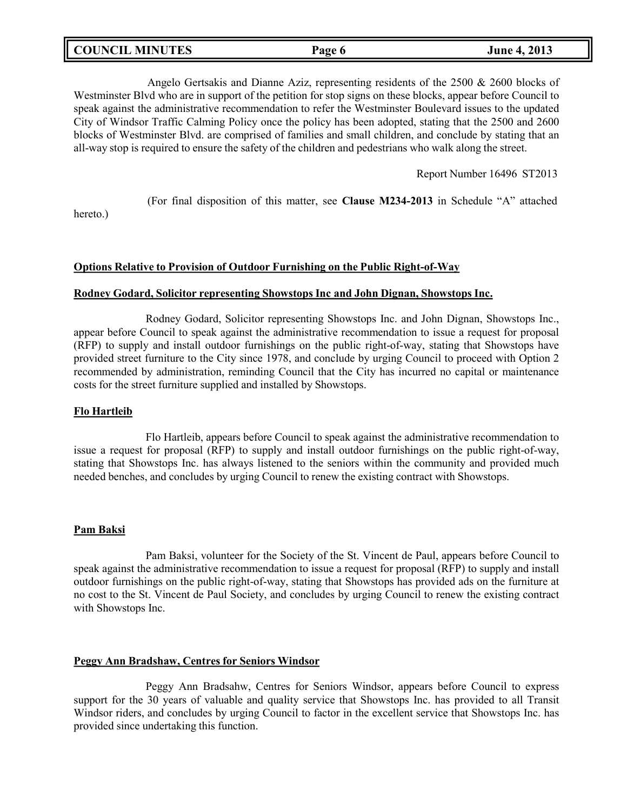| <b>COUNCIL MINUTES</b> | Page 6 | <b>June 4, 2013</b> |
|------------------------|--------|---------------------|
|                        |        |                     |

Angelo Gertsakis and Dianne Aziz, representing residents of the 2500 & 2600 blocks of Westminster Blvd who are in support of the petition for stop signs on these blocks, appear before Council to speak against the administrative recommendation to refer the Westminster Boulevard issues to the updated City of Windsor Traffic Calming Policy once the policy has been adopted, stating that the 2500 and 2600 blocks of Westminster Blvd. are comprised of families and small children, and conclude by stating that an all-way stop is required to ensure the safety of the children and pedestrians who walk along the street.

Report Number 16496 ST2013

(For final disposition of this matter, see **Clause M234-2013** in Schedule "A" attached

hereto.)

## **Options Relative to Provision of Outdoor Furnishing on the Public Right-of-Way**

### **Rodney Godard, Solicitor representing Showstops Inc and John Dignan, Showstops Inc.**

Rodney Godard, Solicitor representing Showstops Inc. and John Dignan, Showstops Inc., appear before Council to speak against the administrative recommendation to issue a request for proposal (RFP) to supply and install outdoor furnishings on the public right-of-way, stating that Showstops have provided street furniture to the City since 1978, and conclude by urging Council to proceed with Option 2 recommended by administration, reminding Council that the City has incurred no capital or maintenance costs for the street furniture supplied and installed by Showstops.

## **Flo Hartleib**

Flo Hartleib, appears before Council to speak against the administrative recommendation to issue a request for proposal (RFP) to supply and install outdoor furnishings on the public right-of-way, stating that Showstops Inc. has always listened to the seniors within the community and provided much needed benches, and concludes by urging Council to renew the existing contract with Showstops.

## **Pam Baksi**

Pam Baksi, volunteer for the Society of the St. Vincent de Paul, appears before Council to speak against the administrative recommendation to issue a request for proposal (RFP) to supply and install outdoor furnishings on the public right-of-way, stating that Showstops has provided ads on the furniture at no cost to the St. Vincent de Paul Society, and concludes by urging Council to renew the existing contract with Showstops Inc.

### **Peggy Ann Bradshaw, Centres for Seniors Windsor**

Peggy Ann Bradsahw, Centres for Seniors Windsor, appears before Council to express support for the 30 years of valuable and quality service that Showstops Inc. has provided to all Transit Windsor riders, and concludes by urging Council to factor in the excellent service that Showstops Inc. has provided since undertaking this function.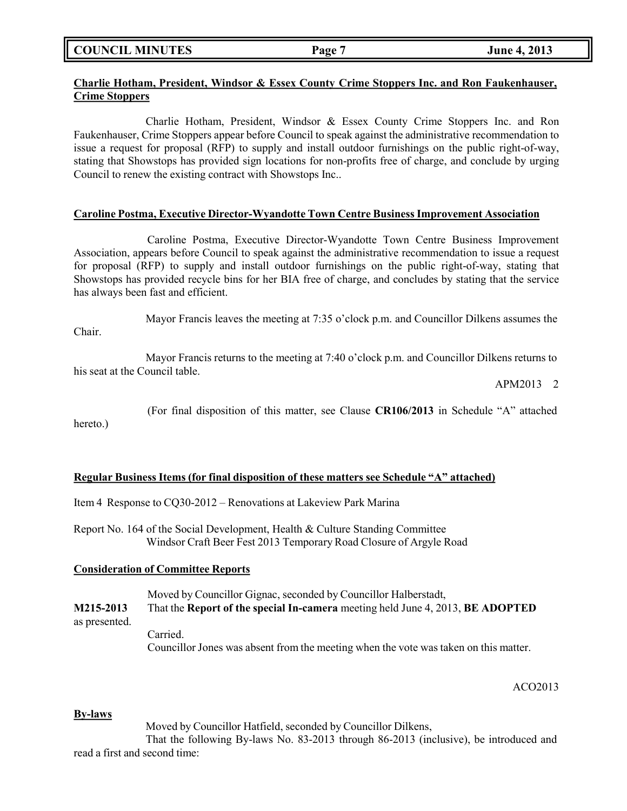**COUNCIL MINUTES Page 7 June 4, 2013**

## **Charlie Hotham, President, Windsor & Essex County Crime Stoppers Inc. and Ron Faukenhauser, Crime Stoppers**

Charlie Hotham, President, Windsor & Essex County Crime Stoppers Inc. and Ron Faukenhauser, Crime Stoppers appear before Council to speak against the administrative recommendation to issue a request for proposal (RFP) to supply and install outdoor furnishings on the public right-of-way, stating that Showstops has provided sign locations for non-profits free of charge, and conclude by urging Council to renew the existing contract with Showstops Inc..

### **Caroline Postma, Executive Director-Wyandotte Town Centre Business Improvement Association**

Caroline Postma, Executive Director-Wyandotte Town Centre Business Improvement Association, appears before Council to speak against the administrative recommendation to issue a request for proposal (RFP) to supply and install outdoor furnishings on the public right-of-way, stating that Showstops has provided recycle bins for her BIA free of charge, and concludes by stating that the service has always been fast and efficient.

Mayor Francis leaves the meeting at 7:35 o'clock p.m. and Councillor Dilkens assumes the Chair.

Mayor Francis returns to the meeting at 7:40 o'clock p.m. and Councillor Dilkens returns to his seat at the Council table.

APM2013 2

(For final disposition of this matter, see Clause **CR106/2013** in Schedule "A" attached hereto.)

## **Regular Business Items (for final disposition of these matters see Schedule "A" attached)**

Item 4 Response to CQ30-2012 – Renovations at Lakeview Park Marina

Report No. 164 of the Social Development, Health & Culture Standing Committee Windsor Craft Beer Fest 2013 Temporary Road Closure of Argyle Road

## **Consideration of Committee Reports**

Moved by Councillor Gignac, seconded by Councillor Halberstadt,

**M215-2013** That the **Report of the special In-camera** meeting held June 4, 2013, **BE ADOPTED** as presented. Carried.

Councillor Jones was absent from the meeting when the vote was taken on this matter.

ACO2013

### **By-laws**

Moved by Councillor Hatfield, seconded by Councillor Dilkens,

That the following By-laws No. 83-2013 through 86-2013 (inclusive), be introduced and read a first and second time: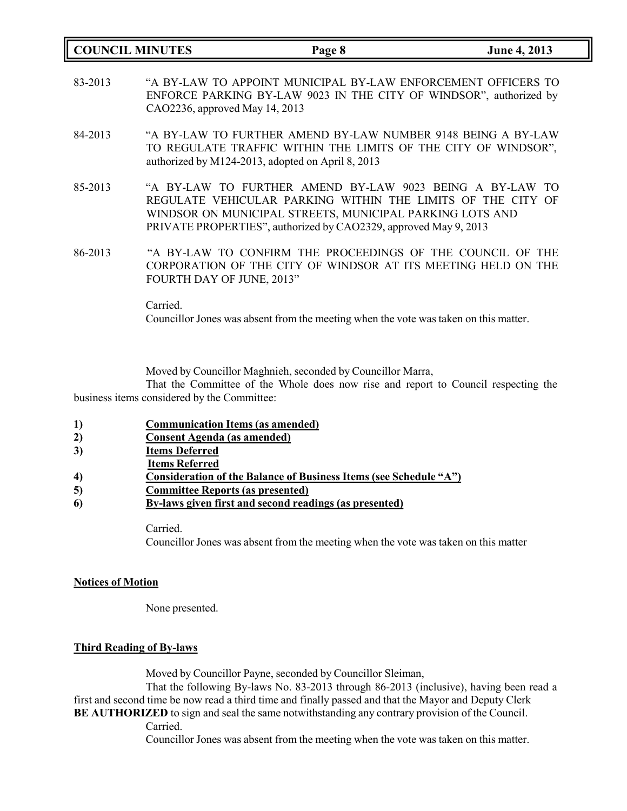| <b>COUNCIL MINUTES</b> |          | Page 8                                                                                                                                                                                                                                                  | <b>June 4, 2013</b> |
|------------------------|----------|---------------------------------------------------------------------------------------------------------------------------------------------------------------------------------------------------------------------------------------------------------|---------------------|
| 83-2013                |          | "A BY-LAW TO APPOINT MUNICIPAL BY-LAW ENFORCEMENT OFFICERS TO<br>ENFORCE PARKING BY-LAW 9023 IN THE CITY OF WINDSOR", authorized by<br>CAO2236, approved May 14, 2013                                                                                   |                     |
| 84-2013                |          | "A BY-LAW TO FURTHER AMEND BY-LAW NUMBER 9148 BEING A BY-LAW<br>TO REGULATE TRAFFIC WITHIN THE LIMITS OF THE CITY OF WINDSOR",<br>authorized by M124-2013, adopted on April 8, 2013                                                                     |                     |
| 85-2013                |          | "A BY-LAW TO FURTHER AMEND BY-LAW 9023 BEING A BY-LAW TO<br>REGULATE VEHICULAR PARKING WITHIN THE LIMITS OF THE CITY OF<br>WINDSOR ON MUNICIPAL STREETS, MUNICIPAL PARKING LOTS AND<br>PRIVATE PROPERTIES", authorized by CAO2329, approved May 9, 2013 |                     |
| 86-2013                |          | "A BY-LAW TO CONFIRM THE PROCEEDINGS OF THE COUNCIL OF THE<br>CORPORATION OF THE CITY OF WINDSOR AT ITS MEETING HELD ON THE<br>FOURTH DAY OF JUNE, 2013"                                                                                                |                     |
|                        | Carried. | Councillor Jones was absent from the meeting when the vote was taken on this matter.                                                                                                                                                                    |                     |

Moved by Councillor Maghnieh, seconded by Councillor Marra,

That the Committee of the Whole does now rise and report to Council respecting the business items considered by the Committee:

- **1) Communication Items (as amended)**
- **2) Consent Agenda (as amended)**
- **3) Items Deferred**
- **Items Referred**

- **5) Committee Reports (as presented)**
- **6) By-laws given first and second readings (as presented)**

Carried. Councillor Jones was absent from the meeting when the vote was taken on this matter

## **Notices of Motion**

None presented.

## **Third Reading of By-laws**

Moved by Councillor Payne, seconded by Councillor Sleiman,

That the following By-laws No. 83-2013 through 86-2013 (inclusive), having been read a first and second time be now read a third time and finally passed and that the Mayor and Deputy Clerk **BE AUTHORIZED** to sign and seal the same notwithstanding any contrary provision of the Council.

Carried.

Councillor Jones was absent from the meeting when the vote was taken on this matter.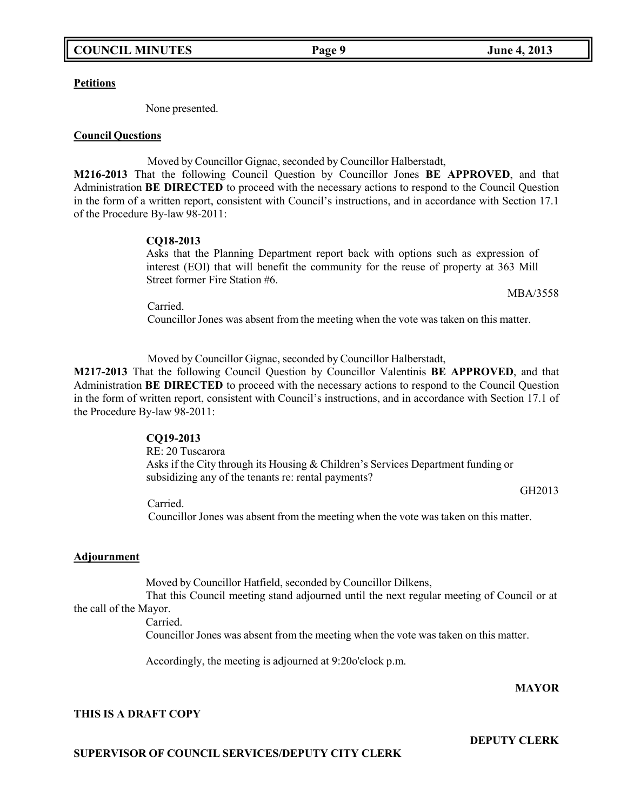### **Petitions**

None presented.

### **Council Questions**

Moved by Councillor Gignac, seconded by Councillor Halberstadt,

**M216-2013** That the following Council Question by Councillor Jones **BE APPROVED**, and that Administration **BE DIRECTED** to proceed with the necessary actions to respond to the Council Question in the form of a written report, consistent with Council's instructions, and in accordance with Section 17.1 of the Procedure By-law 98-2011:

## **CQ18-2013**

Asks that the Planning Department report back with options such as expression of interest (EOI) that will benefit the community for the reuse of property at 363 Mill Street former Fire Station #6.

MBA/3558

Carried.

Councillor Jones was absent from the meeting when the vote was taken on this matter.

Moved by Councillor Gignac, seconded by Councillor Halberstadt,

**M217-2013** That the following Council Question by Councillor Valentinis **BE APPROVED**, and that Administration **BE DIRECTED** to proceed with the necessary actions to respond to the Council Question in the form of written report, consistent with Council's instructions, and in accordance with Section 17.1 of the Procedure By-law 98-2011:

### **CQ19-2013**

RE: 20 Tuscarora Asks if the City through its Housing & Children's Services Department funding or subsidizing any of the tenants re: rental payments?

GH2013

Carried. Councillor Jones was absent from the meeting when the vote was taken on this matter.

## **Adjournment**

Moved by Councillor Hatfield, seconded by Councillor Dilkens,

That this Council meeting stand adjourned until the next regular meeting of Council or at the call of the Mayor.

Carried.

Councillor Jones was absent from the meeting when the vote was taken on this matter.

Accordingly, the meeting is adjourned at 9:20o'clock p.m.

## **MAYOR**

**DEPUTY CLERK**

## **THIS IS A DRAFT COPY**

**SUPERVISOR OF COUNCIL SERVICES/DEPUTY CITY CLERK**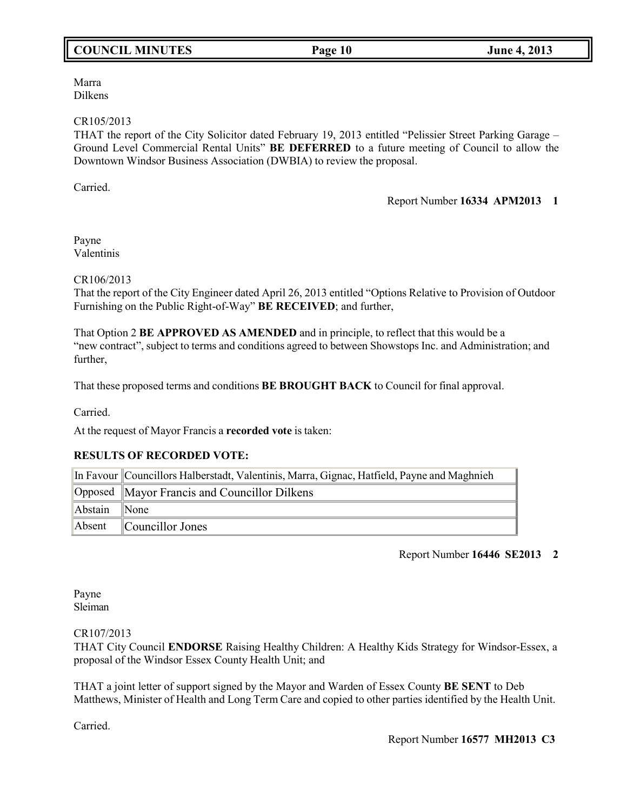# **COUNCIL MINUTES Page 10 June 4, 2013**

Marra Dilkens

### CR105/2013

THAT the report of the City Solicitor dated February 19, 2013 entitled "Pelissier Street Parking Garage – Ground Level Commercial Rental Units" **BE DEFERRED** to a future meeting of Council to allow the Downtown Windsor Business Association (DWBIA) to review the proposal.

Carried.

## Report Number **16334 APM2013 1**

Payne Valentinis

CR106/2013

That the report of the City Engineer dated April 26, 2013 entitled "Options Relative to Provision of Outdoor Furnishing on the Public Right-of-Way" **BE RECEIVED**; and further,

That Option 2 **BE APPROVED AS AMENDED** and in principle, to reflect that this would be a "new contract", subject to terms and conditions agreed to between Showstops Inc. and Administration; and further,

That these proposed terms and conditions **BE BROUGHT BACK** to Council for final approval.

Carried.

At the request of Mayor Francis a **recorded vote** is taken:

## **RESULTS OF RECORDED VOTE:**

|              | In Favour Councillors Halberstadt, Valentinis, Marra, Gignac, Hatfield, Payne and Maghnieh |
|--------------|--------------------------------------------------------------------------------------------|
|              | Opposed Mayor Francis and Councillor Dilkens                                               |
| Abstain None |                                                                                            |
|              | Absent Councillor Jones                                                                    |

## Report Number **16446 SE2013 2**

Payne Sleiman

CR107/2013

THAT City Council **ENDORSE** Raising Healthy Children: A Healthy Kids Strategy for Windsor-Essex, a proposal of the Windsor Essex County Health Unit; and

THAT a joint letter of support signed by the Mayor and Warden of Essex County **BE SENT** to Deb Matthews, Minister of Health and Long Term Care and copied to other parties identified by the Health Unit.

Carried.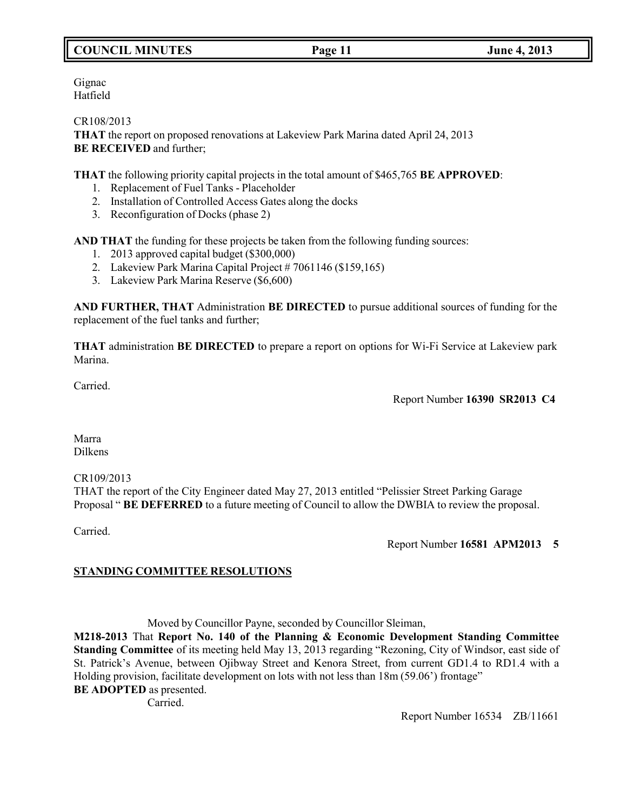# **COUNCIL MINUTES Page 11 June 4, 2013**

Gignac Hatfield

CR108/2013

**THAT** the report on proposed renovations at Lakeview Park Marina dated April 24, 2013 **BE RECEIVED** and further;

**THAT** the following priority capital projects in the total amount of \$465,765 **BE APPROVED**:

- 1. Replacement of Fuel Tanks Placeholder
- 2. Installation of Controlled Access Gates along the docks
- 3. Reconfiguration of Docks (phase 2)

**AND THAT** the funding for these projects be taken from the following funding sources:

- 1. 2013 approved capital budget (\$300,000)
- 2. Lakeview Park Marina Capital Project # 7061146 (\$159,165)
- 3. Lakeview Park Marina Reserve (\$6,600)

**AND FURTHER, THAT** Administration **BE DIRECTED** to pursue additional sources of funding for the replacement of the fuel tanks and further;

**THAT** administration **BE DIRECTED** to prepare a report on options for Wi-Fi Service at Lakeview park Marina.

Carried.

Report Number **16390 SR2013 C4**

Marra Dilkens

CR109/2013

THAT the report of the City Engineer dated May 27, 2013 entitled "Pelissier Street Parking Garage Proposal " **BE DEFERRED** to a future meeting of Council to allow the DWBIA to review the proposal.

Carried.

Report Number **16581 APM2013 5**

## **STANDING COMMITTEE RESOLUTIONS**

Moved by Councillor Payne, seconded by Councillor Sleiman,

**M218-2013** That **Report No. 140 of the Planning & Economic Development Standing Committee Standing Committee** of its meeting held May 13, 2013 regarding "Rezoning, City of Windsor, east side of St. Patrick's Avenue, between Ojibway Street and Kenora Street, from current GD1.4 to RD1.4 with a Holding provision, facilitate development on lots with not less than 18m (59.06') frontage"

**BE ADOPTED** as presented.

Carried.

Report Number 16534 ZB/11661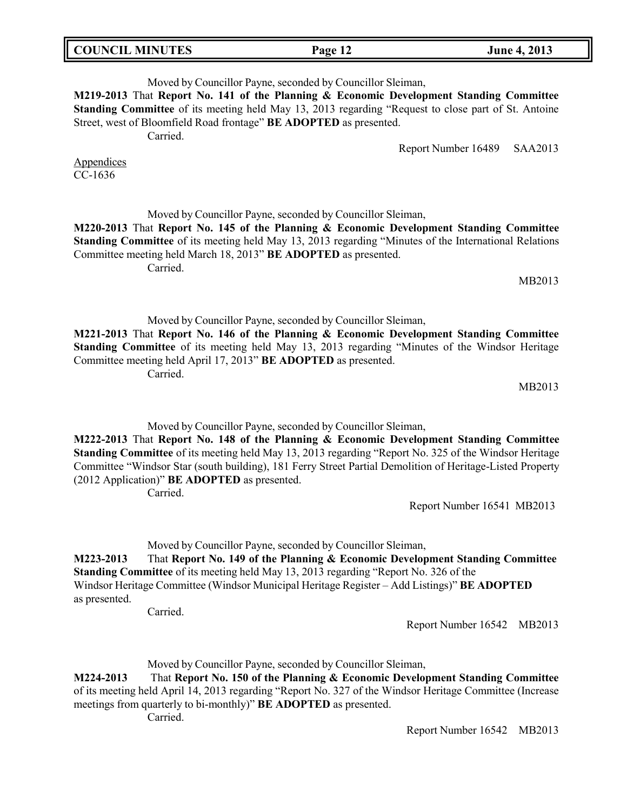| <b>COUNCIL MINUTES</b> | Page 12 | <b>June 4, 2013</b> |
|------------------------|---------|---------------------|

Moved by Councillor Payne, seconded by Councillor Sleiman, **M219-2013** That **Report No. 141 of the Planning & Economic Development Standing Committee Standing Committee** of its meeting held May 13, 2013 regarding "Request to close part of St. Antoine Street, west of Bloomfield Road frontage" **BE ADOPTED** as presented. Carried. Report Number 16489 SAA2013 Appendices CC-1636 Moved by Councillor Payne, seconded by Councillor Sleiman, **M220-2013** That **Report No. 145 of the Planning & Economic Development Standing Committee Standing Committee** of its meeting held May 13, 2013 regarding "Minutes of the International Relations Committee meeting held March 18, 2013" **BE ADOPTED** as presented. Carried. Moved by Councillor Payne, seconded by Councillor Sleiman, **M221-2013** That **Report No. 146 of the Planning & Economic Development Standing Committee Standing Committee** of its meeting held May 13, 2013 regarding "Minutes of the Windsor Heritage Committee meeting held April 17, 2013" **BE ADOPTED** as presented.

Carried.

MB2013

Moved by Councillor Payne, seconded by Councillor Sleiman,

**M222-2013** That **Report No. 148 of the Planning & Economic Development Standing Committee Standing Committee** of its meeting held May 13, 2013 regarding "Report No. 325 of the Windsor Heritage Committee "Windsor Star (south building), 181 Ferry Street Partial Demolition of Heritage-Listed Property (2012 Application)" **BE ADOPTED** as presented.

Carried.

Moved by Councillor Payne, seconded by Councillor Sleiman,

**M223-2013** That **Report No. 149 of the Planning & Economic Development Standing Committee Standing Committee** of its meeting held May 13, 2013 regarding "Report No. 326 of the Windsor Heritage Committee (Windsor Municipal Heritage Register – Add Listings)" **BE ADOPTED** as presented.

Carried.

Report Number 16542 MB2013

Report Number 16541 MB2013

Moved by Councillor Payne, seconded by Councillor Sleiman,

**M224-2013** That **Report No. 150 of the Planning & Economic Development Standing Committee** of its meeting held April 14, 2013 regarding "Report No. 327 of the Windsor Heritage Committee (Increase meetings from quarterly to bi-monthly)" **BE ADOPTED** as presented.

Carried.

Report Number 16542 MB2013

MB2013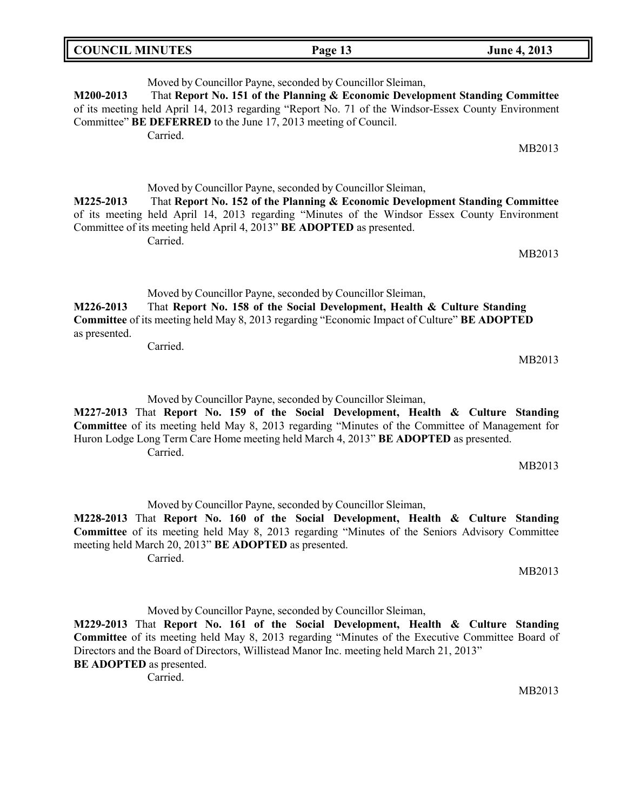| <b>COUNCIL MINUTES</b>        | Page 13                                                                | <b>June 4, 2013</b> |
|-------------------------------|------------------------------------------------------------------------|---------------------|
| $\sim$ $\sim$<br>$\mathbf{r}$ | $\sim$ $\sim$<br>$\sim$ $\sim$ $\sim$ $\sim$ $\sim$ $\sim$<br>$\cdots$ |                     |

Moved by Councillor Payne, seconded by Councillor Sleiman, **M200-2013** That **Report No. 151 of the Planning & Economic Development Standing Committee** of its meeting held April 14, 2013 regarding "Report No. 71 of the Windsor-Essex County Environment Committee" **BE DEFERRED** to the June 17, 2013 meeting of Council. Carried.

Moved by Councillor Payne, seconded by Councillor Sleiman, **M225-2013** That **Report No. 152 of the Planning & Economic Development Standing Committee** of its meeting held April 14, 2013 regarding "Minutes of the Windsor Essex County Environment Committee of its meeting held April 4, 2013" **BE ADOPTED** as presented. Carried.

MB2013

MB2013

Moved by Councillor Payne, seconded by Councillor Sleiman, **M226-2013** That **Report No. 158 of the Social Development, Health & Culture Standing Committee** of its meeting held May 8, 2013 regarding "Economic Impact of Culture" **BE ADOPTED** as presented.

Carried.

Moved by Councillor Payne, seconded by Councillor Sleiman,

**M227-2013** That **Report No. 159 of the Social Development, Health & Culture Standing Committee** of its meeting held May 8, 2013 regarding "Minutes of the Committee of Management for Huron Lodge Long Term Care Home meeting held March 4, 2013" **BE ADOPTED** as presented. Carried.

Moved by Councillor Payne, seconded by Councillor Sleiman,

**M228-2013** That **Report No. 160 of the Social Development, Health & Culture Standing Committee** of its meeting held May 8, 2013 regarding "Minutes of the Seniors Advisory Committee meeting held March 20, 2013" **BE ADOPTED** as presented.

Carried.

Moved by Councillor Payne, seconded by Councillor Sleiman,

**M229-2013** That **Report No. 161 of the Social Development, Health & Culture Standing Committee** of its meeting held May 8, 2013 regarding "Minutes of the Executive Committee Board of Directors and the Board of Directors, Willistead Manor Inc. meeting held March 21, 2013" **BE ADOPTED** as presented.

Carried.

MB2013

MB2013

MB2013

MB2013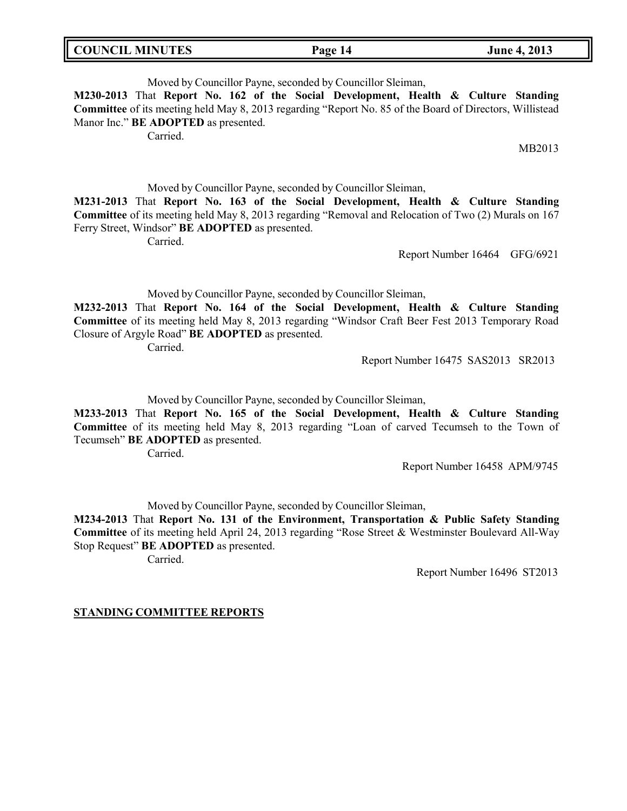| <b>COUNCIL MINUTES</b> | Page 14 | <b>June 4, 2013</b> |
|------------------------|---------|---------------------|
|                        |         |                     |

Moved by Councillor Payne, seconded by Councillor Sleiman,

**M230-2013** That **Report No. 162 of the Social Development, Health & Culture Standing Committee** of its meeting held May 8, 2013 regarding "Report No. 85 of the Board of Directors, Willistead Manor Inc." **BE ADOPTED** as presented.

Carried.

MB2013

Moved by Councillor Payne, seconded by Councillor Sleiman, **M231-2013** That **Report No. 163 of the Social Development, Health & Culture Standing Committee** of its meeting held May 8, 2013 regarding "Removal and Relocation of Two (2) Murals on 167 Ferry Street, Windsor" **BE ADOPTED** as presented.

Carried.

Report Number 16464 GFG/6921

Moved by Councillor Payne, seconded by Councillor Sleiman,

**M232-2013** That **Report No. 164 of the Social Development, Health & Culture Standing Committee** of its meeting held May 8, 2013 regarding "Windsor Craft Beer Fest 2013 Temporary Road Closure of Argyle Road" **BE ADOPTED** as presented.

Carried.

Report Number 16475 SAS2013 SR2013

Moved by Councillor Payne, seconded by Councillor Sleiman,

**M233-2013** That **Report No. 165 of the Social Development, Health & Culture Standing Committee** of its meeting held May 8, 2013 regarding "Loan of carved Tecumseh to the Town of Tecumseh" **BE ADOPTED** as presented.

Carried.

Report Number 16458 APM/9745

Moved by Councillor Payne, seconded by Councillor Sleiman,

**M234-2013** That **Report No. 131 of the Environment, Transportation & Public Safety Standing Committee** of its meeting held April 24, 2013 regarding "Rose Street & Westminster Boulevard All-Way Stop Request" **BE ADOPTED** as presented.

Carried.

Report Number 16496 ST2013

### **STANDING COMMITTEE REPORTS**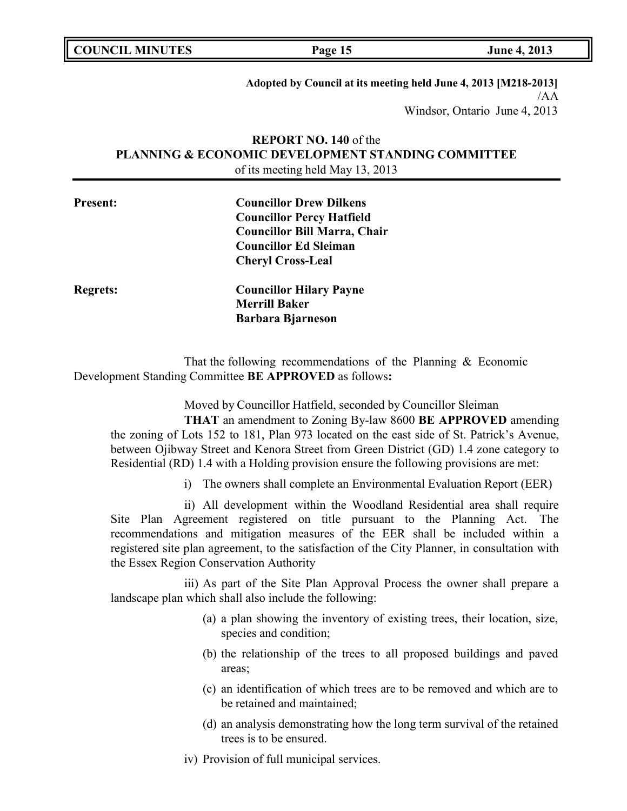**Adopted by Council at its meeting held June 4, 2013 [M218-2013]** /AA Windsor, Ontario June 4, 2013

# **REPORT NO. 140** of the **PLANNING & ECONOMIC DEVELOPMENT STANDING COMMITTEE** of its meeting held May 13, 2013

| <b>Present:</b> | <b>Councillor Drew Dilkens</b>      |  |
|-----------------|-------------------------------------|--|
|                 | <b>Councillor Percy Hatfield</b>    |  |
|                 | <b>Councillor Bill Marra, Chair</b> |  |
|                 | <b>Councillor Ed Sleiman</b>        |  |
|                 | <b>Cheryl Cross-Leal</b>            |  |
| <b>Regrets:</b> | <b>Councillor Hilary Payne</b>      |  |
|                 | <b>Merrill Baker</b>                |  |
|                 | <b>Barbara Bjarneson</b>            |  |

That the following recommendations of the Planning & Economic Development Standing Committee **BE APPROVED** as follows**:**

Moved by Councillor Hatfield, seconded by Councillor Sleiman

**THAT** an amendment to Zoning By-law 8600 **BE APPROVED** amending the zoning of Lots 152 to 181, Plan 973 located on the east side of St. Patrick's Avenue, between Ojibway Street and Kenora Street from Green District (GD) 1.4 zone category to Residential (RD) 1.4 with a Holding provision ensure the following provisions are met:

i) The owners shall complete an Environmental Evaluation Report (EER)

ii) All development within the Woodland Residential area shall require Site Plan Agreement registered on title pursuant to the Planning Act. The recommendations and mitigation measures of the EER shall be included within a registered site plan agreement, to the satisfaction of the City Planner, in consultation with the Essex Region Conservation Authority

iii) As part of the Site Plan Approval Process the owner shall prepare a landscape plan which shall also include the following:

- (a) a plan showing the inventory of existing trees, their location, size, species and condition;
- (b) the relationship of the trees to all proposed buildings and paved areas;
- (c) an identification of which trees are to be removed and which are to be retained and maintained;
- (d) an analysis demonstrating how the long term survival of the retained trees is to be ensured.
- iv) Provision of full municipal services.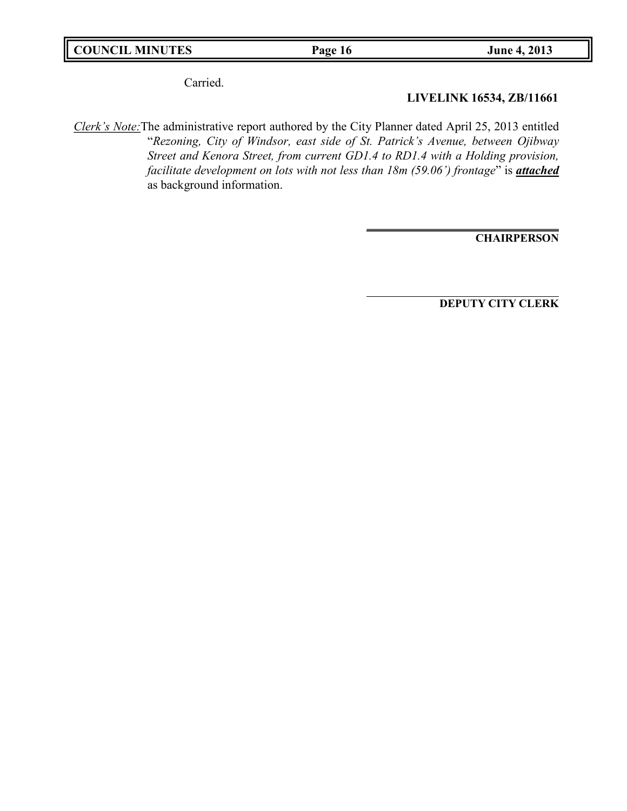Carried.

**LIVELINK 16534, ZB/11661**

*Clerk's Note:*The administrative report authored by the City Planner dated April 25, 2013 entitled "*Rezoning, City of Windsor, east side of St. Patrick's Avenue, between Ojibway Street and Kenora Street, from current GD1.4 to RD1.4 with a Holding provision, facilitate development on lots with not less than 18m (59.06') frontage*" is *attached* as background information.

**CHAIRPERSON**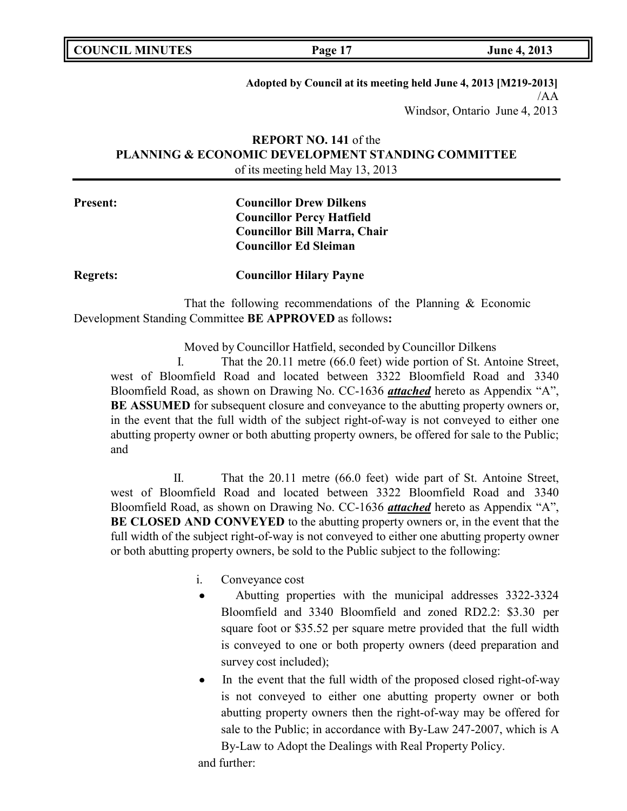**Adopted by Council at its meeting held June 4, 2013 [M219-2013]** /AA Windsor, Ontario June 4, 2013

# **REPORT NO. 141** of the **PLANNING & ECONOMIC DEVELOPMENT STANDING COMMITTEE** of its meeting held May 13, 2013

# **Present: Councillor Drew Dilkens Councillor Percy Hatfield Councillor Bill Marra, Chair Councillor Ed Sleiman**

**Regrets: Councillor Hilary Payne**

That the following recommendations of the Planning & Economic Development Standing Committee **BE APPROVED** as follows**:**

Moved by Councillor Hatfield, seconded by Councillor Dilkens

I. That the 20.11 metre (66.0 feet) wide portion of St. Antoine Street, west of Bloomfield Road and located between 3322 Bloomfield Road and 3340 Bloomfield Road, as shown on Drawing No. CC-1636 *attached* hereto as Appendix "A", **BE ASSUMED** for subsequent closure and conveyance to the abutting property owners or, in the event that the full width of the subject right-of-way is not conveyed to either one abutting property owner or both abutting property owners, be offered for sale to the Public; and

II. That the 20.11 metre (66.0 feet) wide part of St. Antoine Street, west of Bloomfield Road and located between 3322 Bloomfield Road and 3340 Bloomfield Road, as shown on Drawing No. CC-1636 *attached* hereto as Appendix "A", **BE CLOSED AND CONVEYED** to the abutting property owners or, in the event that the full width of the subject right-of-way is not conveyed to either one abutting property owner or both abutting property owners, be sold to the Public subject to the following:

- i. Conveyance cost
	- Abutting properties with the municipal addresses 3322-3324 Bloomfield and 3340 Bloomfield and zoned RD2.2: \$3.30 per square foot or \$35.52 per square metre provided that the full width is conveyed to one or both property owners (deed preparation and survey cost included);
	- In the event that the full width of the proposed closed right-of-way is not conveyed to either one abutting property owner or both abutting property owners then the right-of-way may be offered for sale to the Public; in accordance with By-Law 247-2007, which is A By-Law to Adopt the Dealings with Real Property Policy.

and further: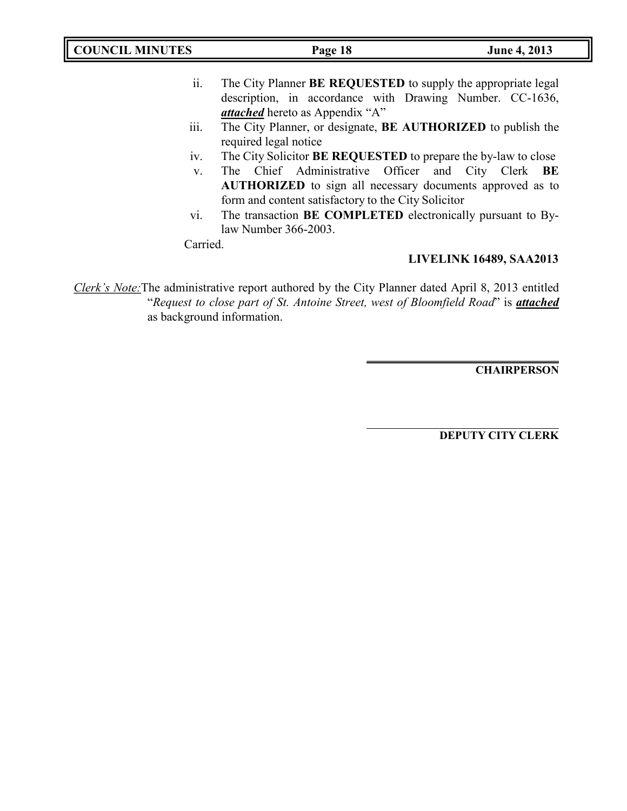| <b>COUNCIL MINUTES</b> | Page 18                                                                                                                                                                       | June 4, 2013                   |
|------------------------|-------------------------------------------------------------------------------------------------------------------------------------------------------------------------------|--------------------------------|
| ii.                    | The City Planner BE REQUESTED to supply the appropriate legal<br>description, in accordance with Drawing Number. CC-1636,<br><i>attached</i> hereto as Appendix "A"           |                                |
| iii.                   | The City Planner, or designate, BE AUTHORIZED to publish the<br>required legal notice                                                                                         |                                |
| 1V.                    | The City Solicitor <b>BE REQUESTED</b> to prepare the by-law to close                                                                                                         |                                |
| $V_{\cdot}$            | The Chief Administrative Officer and City Clerk BE<br><b>AUTHORIZED</b> to sign all necessary documents approved as to<br>form and content satisfactory to the City Solicitor |                                |
| vi.                    | The transaction BE COMPLETED electronically pursuant to By-<br>law Number 366-2003.                                                                                           |                                |
| Carried.               |                                                                                                                                                                               | <b>LIVELINK 16489, SAA2013</b> |

*Clerk's Note:*The administrative report authored by the City Planner dated April 8, 2013 entitled "*Request to close part of St. Antoine Street, west of Bloomfield Road*" is *attached* as background information.

**CHAIRPERSON**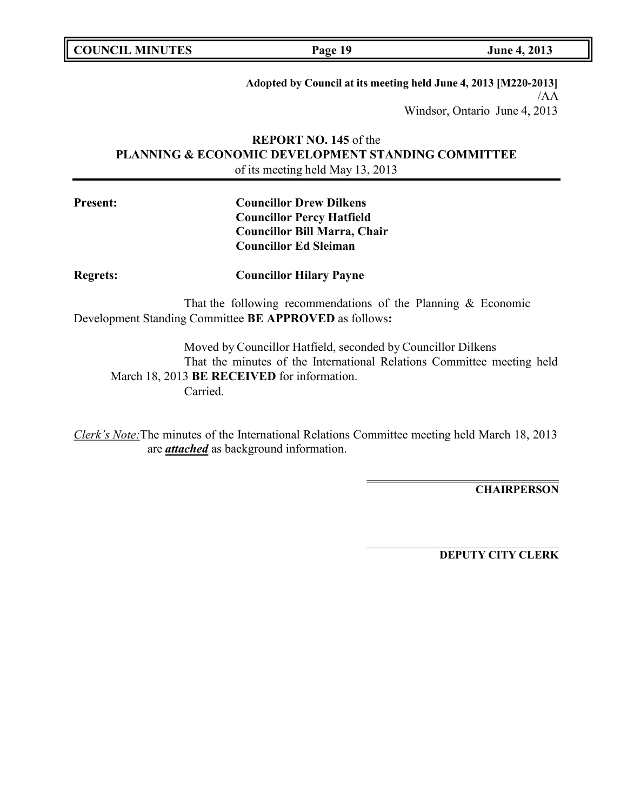**COUNCIL MINUTES Page 19 June 4, 2013**

**Adopted by Council at its meeting held June 4, 2013 [M220-2013]** /AA Windsor, Ontario June 4, 2013

# **REPORT NO. 145** of the **PLANNING & ECONOMIC DEVELOPMENT STANDING COMMITTEE** of its meeting held May 13, 2013

# **Present: Councillor Drew Dilkens Councillor Percy Hatfield Councillor Bill Marra, Chair Councillor Ed Sleiman**

## **Regrets: Councillor Hilary Payne**

That the following recommendations of the Planning & Economic Development Standing Committee **BE APPROVED** as follows**:**

Moved by Councillor Hatfield, seconded by Councillor Dilkens That the minutes of the International Relations Committee meeting held March 18, 2013 **BE RECEIVED** for information. Carried.

*Clerk's Note:*The minutes of the International Relations Committee meeting held March 18, 2013 are *attached* as background information.

**CHAIRPERSON**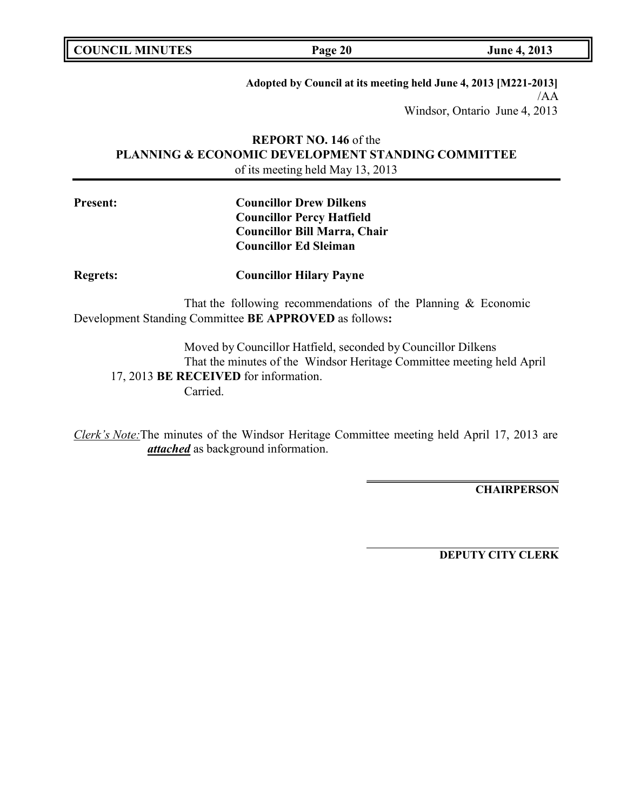**COUNCIL EXECUTE:** Fig. 2013

**Adopted by Council at its meeting held June 4, 2013 [M221-2013]** /AA Windsor, Ontario June 4, 2013

# **REPORT NO. 146** of the **PLANNING & ECONOMIC DEVELOPMENT STANDING COMMITTEE** of its meeting held May 13, 2013

# **Present: Councillor Drew Dilkens Councillor Percy Hatfield Councillor Bill Marra, Chair Councillor Ed Sleiman**

## **Regrets: Councillor Hilary Payne**

That the following recommendations of the Planning & Economic Development Standing Committee **BE APPROVED** as follows**:**

Moved by Councillor Hatfield, seconded by Councillor Dilkens That the minutes of the Windsor Heritage Committee meeting held April 17, 2013 **BE RECEIVED** for information. Carried.

*Clerk's Note:*The minutes of the Windsor Heritage Committee meeting held April 17, 2013 are *attached* as background information.

**CHAIRPERSON**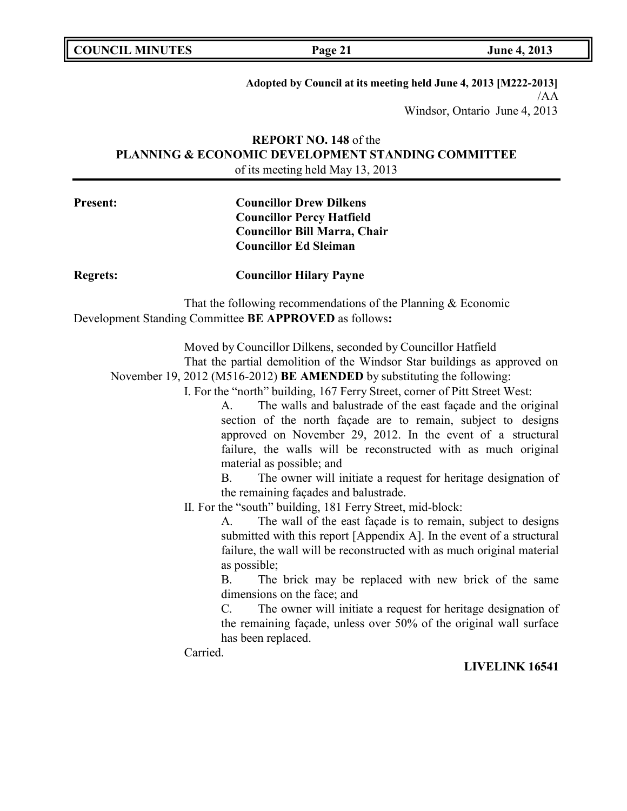**Adopted by Council at its meeting held June 4, 2013 [M222-2013]** /AA Windsor, Ontario June 4, 2013

# **REPORT NO. 148** of the **PLANNING & ECONOMIC DEVELOPMENT STANDING COMMITTEE** of its meeting held May 13, 2013

# **Present: Councillor Drew Dilkens Councillor Percy Hatfield Councillor Bill Marra, Chair Councillor Ed Sleiman**

**Regrets: Councillor Hilary Payne**

That the following recommendations of the Planning & Economic Development Standing Committee **BE APPROVED** as follows**:**

Moved by Councillor Dilkens, seconded by Councillor Hatfield

That the partial demolition of the Windsor Star buildings as approved on November 19, 2012 (M516-2012) **BE AMENDED** by substituting the following:

I. For the "north" building, 167 Ferry Street, corner of Pitt Street West:

A. The walls and balustrade of the east façade and the original section of the north façade are to remain, subject to designs approved on November 29, 2012. In the event of a structural failure, the walls will be reconstructed with as much original material as possible; and

B. The owner will initiate a request for heritage designation of the remaining façades and balustrade.

II. For the "south" building, 181 Ferry Street, mid-block:

A. The wall of the east façade is to remain, subject to designs submitted with this report [Appendix A]. In the event of a structural failure, the wall will be reconstructed with as much original material as possible;

B. The brick may be replaced with new brick of the same dimensions on the face; and

C. The owner will initiate a request for heritage designation of the remaining façade, unless over 50% of the original wall surface has been replaced.

Carried.

## **LIVELINK 16541**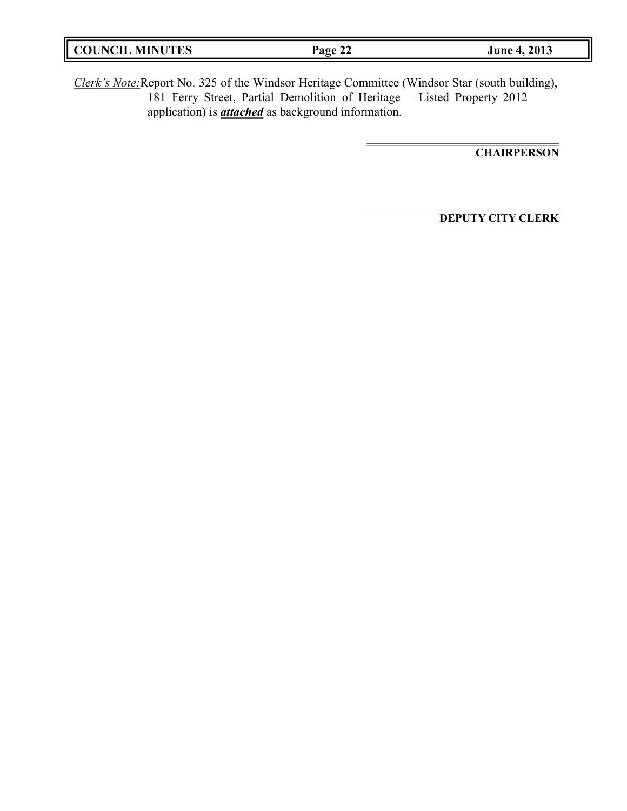| <b>COUNCIL MINUTES</b> | Page<br>, 44 | 2013<br>June 4, |
|------------------------|--------------|-----------------|
|                        |              |                 |

*Clerk's Note:*Report No. 325 of the Windsor Heritage Committee (Windsor Star (south building), 181 Ferry Street, Partial Demolition of Heritage – Listed Property 2012 application) is *attached* as background information.

**CHAIRPERSON**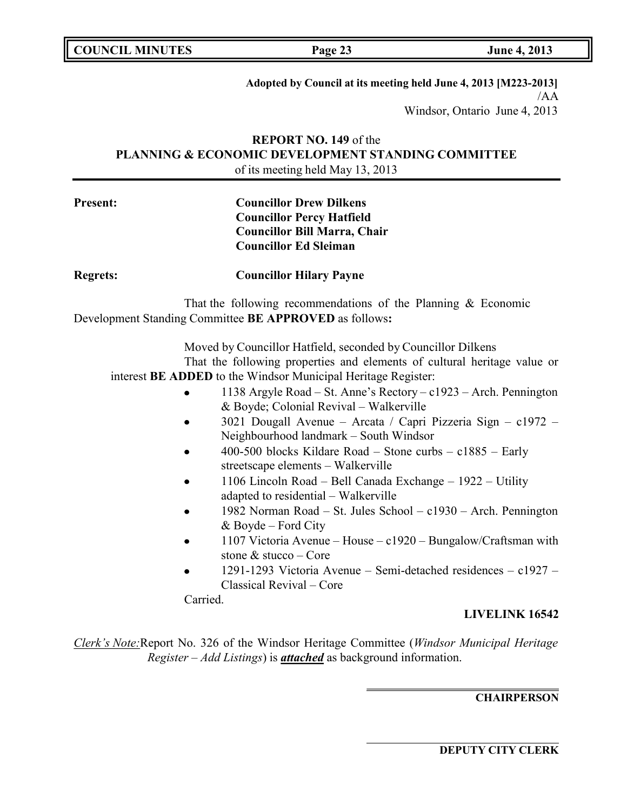**Adopted by Council at its meeting held June 4, 2013 [M223-2013]** /AA Windsor, Ontario June 4, 2013

# **REPORT NO. 149** of the **PLANNING & ECONOMIC DEVELOPMENT STANDING COMMITTEE** of its meeting held May 13, 2013

# **Present: Councillor Drew Dilkens Councillor Percy Hatfield Councillor Bill Marra, Chair Councillor Ed Sleiman**

**Regrets: Councillor Hilary Payne**

That the following recommendations of the Planning & Economic Development Standing Committee **BE APPROVED** as follows**:**

Moved by Councillor Hatfield, seconded by Councillor Dilkens That the following properties and elements of cultural heritage value or interest **BE ADDED** to the Windsor Municipal Heritage Register:

- 1138 Argyle Road St. Anne's Rectory c1923 Arch. Pennington & Boyde; Colonial Revival – Walkerville
- 3021 Dougall Avenue Arcata / Capri Pizzeria Sign c1972 Neighbourhood landmark – South Windsor
- 400-500 blocks Kildare Road Stone curbs c1885 Early streetscape elements – Walkerville
- 1106 Lincoln Road Bell Canada Exchange 1922 Utility adapted to residential – Walkerville
- 1982 Norman Road St. Jules School c1930 Arch. Pennington & Boyde – Ford City
- 1107 Victoria Avenue House c1920 Bungalow/Craftsman with stone & stucco – Core
- 1291-1293 Victoria Avenue Semi-detached residences c1927 Classical Revival – Core

Carried.

## **LIVELINK 16542**

*Clerk's Note:*Report No. 326 of the Windsor Heritage Committee (*Windsor Municipal Heritage Register – Add Listings*) is *attached* as background information.

## **CHAIRPERSON**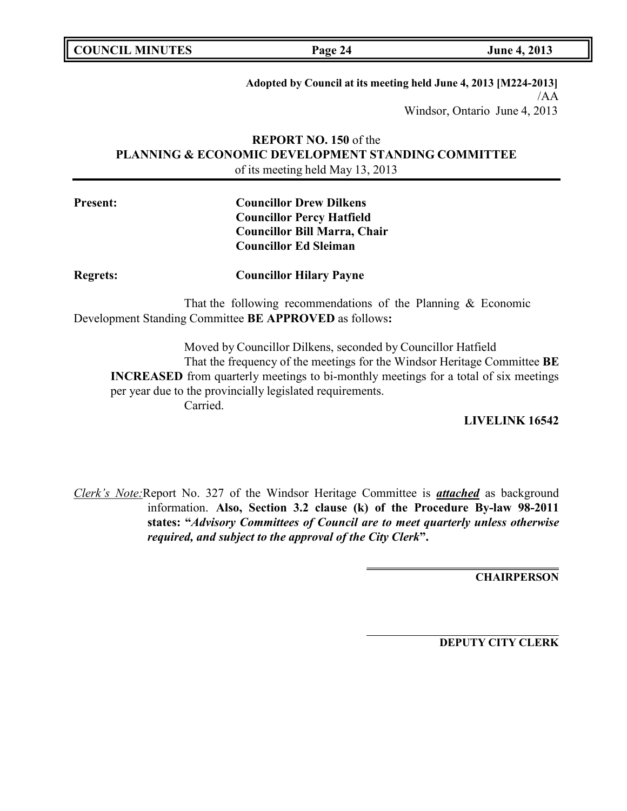**COUNCIL MINUTES Page 24 June 4, 2013**

**Adopted by Council at its meeting held June 4, 2013 [M224-2013]** /AA Windsor, Ontario June 4, 2013

# **REPORT NO. 150** of the **PLANNING & ECONOMIC DEVELOPMENT STANDING COMMITTEE** of its meeting held May 13, 2013

# **Present: Councillor Drew Dilkens Councillor Percy Hatfield Councillor Bill Marra, Chair Councillor Ed Sleiman**

**Regrets: Councillor Hilary Payne**

That the following recommendations of the Planning & Economic Development Standing Committee **BE APPROVED** as follows**:**

Moved by Councillor Dilkens, seconded by Councillor Hatfield That the frequency of the meetings for the Windsor Heritage Committee **BE INCREASED** from quarterly meetings to bi-monthly meetings for a total of six meetings per year due to the provincially legislated requirements. Carried.

**LIVELINK 16542**

*Clerk's Note:*Report No. 327 of the Windsor Heritage Committee is *attached* as background information. **Also, Section 3.2 clause (k) of the Procedure By-law 98-2011 states: "***Advisory Committees of Council are to meet quarterly unless otherwise required, and subject to the approval of the City Clerk***".**

**CHAIRPERSON**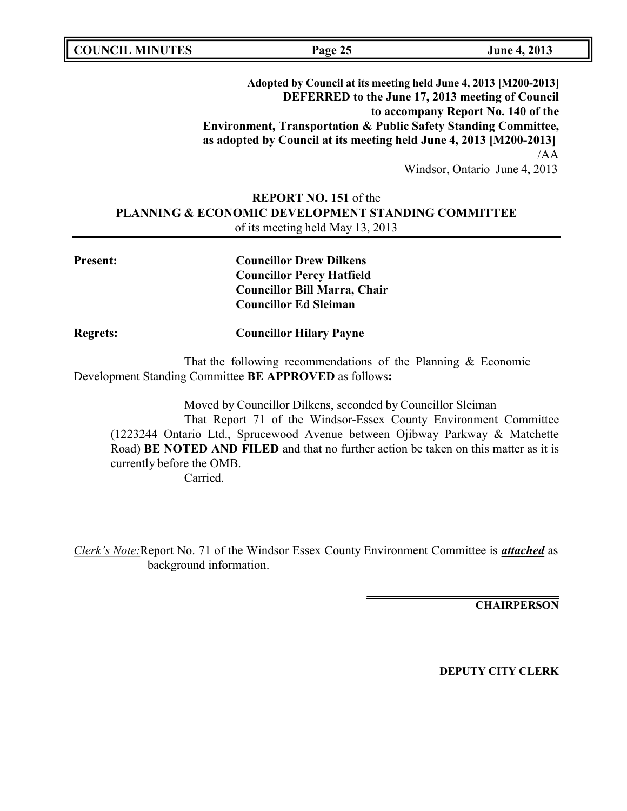**COUNCIL MINUTES Page 25 June 4, 2013**

**Adopted by Council at its meeting held June 4, 2013 [M200-2013] DEFERRED to the June 17, 2013 meeting of Council to accompany Report No. 140 of the Environment, Transportation & Public Safety Standing Committee, as adopted by Council at its meeting held June 4, 2013 [M200-2013]** /AA

Windsor, Ontario June 4, 2013

# **REPORT NO. 151** of the **PLANNING & ECONOMIC DEVELOPMENT STANDING COMMITTEE** of its meeting held May 13, 2013

**Present: Councillor Drew Dilkens Councillor Percy Hatfield Councillor Bill Marra, Chair Councillor Ed Sleiman**

**Regrets: Councillor Hilary Payne**

That the following recommendations of the Planning & Economic Development Standing Committee **BE APPROVED** as follows**:**

Moved by Councillor Dilkens, seconded by Councillor Sleiman That Report 71 of the Windsor-Essex County Environment Committee (1223244 Ontario Ltd., Sprucewood Avenue between Ojibway Parkway & Matchette Road) **BE NOTED AND FILED** and that no further action be taken on this matter as it is currently before the OMB.

Carried.

*Clerk's Note:*Report No. 71 of the Windsor Essex County Environment Committee is *attached* as background information.

**CHAIRPERSON**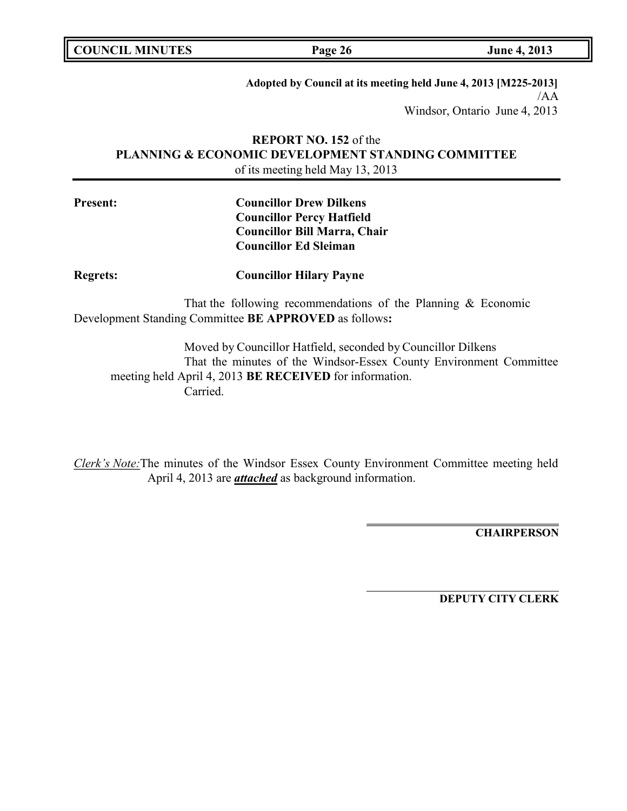**COUNCIL MINUTES Page 26 June 4, 2013**

**Adopted by Council at its meeting held June 4, 2013 [M225-2013]** /AA Windsor, Ontario June 4, 2013

# **REPORT NO. 152** of the **PLANNING & ECONOMIC DEVELOPMENT STANDING COMMITTEE** of its meeting held May 13, 2013

# **Present: Councillor Drew Dilkens Councillor Percy Hatfield Councillor Bill Marra, Chair Councillor Ed Sleiman**

## **Regrets: Councillor Hilary Payne**

That the following recommendations of the Planning & Economic Development Standing Committee **BE APPROVED** as follows**:**

Moved by Councillor Hatfield, seconded by Councillor Dilkens That the minutes of the Windsor-Essex County Environment Committee meeting held April 4, 2013 **BE RECEIVED** for information. Carried.

*Clerk's Note:*The minutes of the Windsor Essex County Environment Committee meeting held April 4, 2013 are *attached* as background information.

**CHAIRPERSON**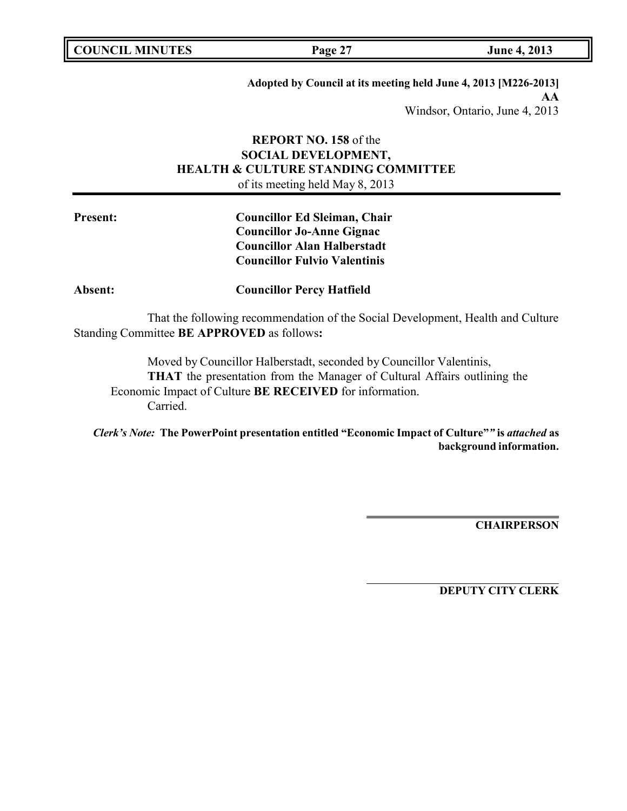| <b>COUNCIL MINUTES</b> |  |
|------------------------|--|
|------------------------|--|

**Adopted by Council at its meeting held June 4, 2013 [M226-2013] AA** Windsor, Ontario, June 4, 2013

# **REPORT NO. 158** of the **SOCIAL DEVELOPMENT, HEALTH & CULTURE STANDING COMMITTEE** of its meeting held May 8, 2013

**Present: Councillor Ed Sleiman, Chair Councillor Jo-Anne Gignac Councillor Alan Halberstadt Councillor Fulvio Valentinis**

**Absent: Councillor Percy Hatfield**

That the following recommendation of the Social Development, Health and Culture Standing Committee **BE APPROVED** as follows**:**

Moved by Councillor Halberstadt, seconded by Councillor Valentinis, **THAT** the presentation from the Manager of Cultural Affairs outlining the Economic Impact of Culture **BE RECEIVED** for information. Carried.

*Clerk's Note:* **The PowerPoint presentation entitled "Economic Impact of Culture"***"* **is** *attached* **as background information.**

**CHAIRPERSON**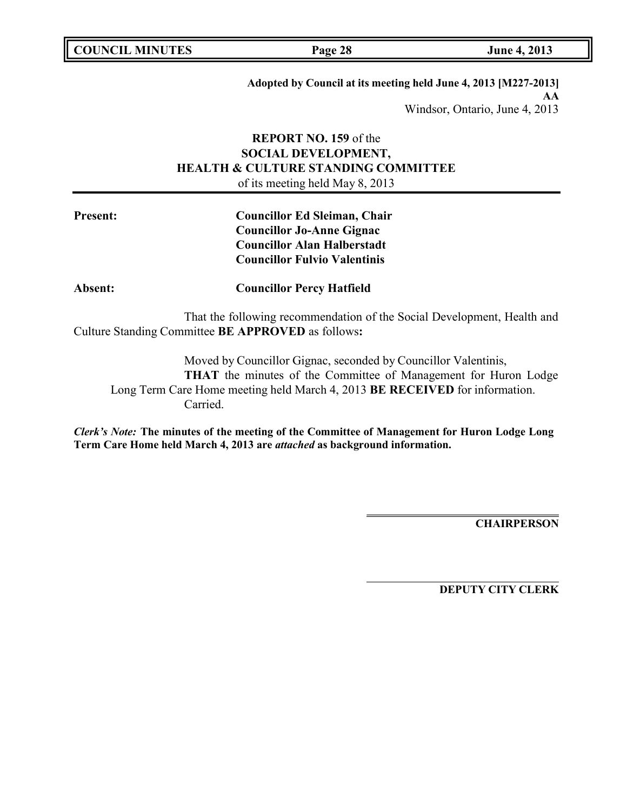| <b>COUNCIL MINUTES</b> |  |
|------------------------|--|
|------------------------|--|

**Adopted by Council at its meeting held June 4, 2013 [M227-2013] AA** Windsor, Ontario, June 4, 2013

# **REPORT NO. 159** of the **SOCIAL DEVELOPMENT, HEALTH & CULTURE STANDING COMMITTEE** of its meeting held May 8, 2013

**Present: Councillor Ed Sleiman, Chair Councillor Jo-Anne Gignac Councillor Alan Halberstadt Councillor Fulvio Valentinis**

**Absent: Councillor Percy Hatfield**

That the following recommendation of the Social Development, Health and Culture Standing Committee **BE APPROVED** as follows**:**

Moved by Councillor Gignac, seconded by Councillor Valentinis, **THAT** the minutes of the Committee of Management for Huron Lodge Long Term Care Home meeting held March 4, 2013 **BE RECEIVED** for information. Carried.

*Clerk's Note:* **The minutes of the meeting of the Committee of Management for Huron Lodge Long Term Care Home held March 4, 2013 are** *attached* **as background information.**

**CHAIRPERSON**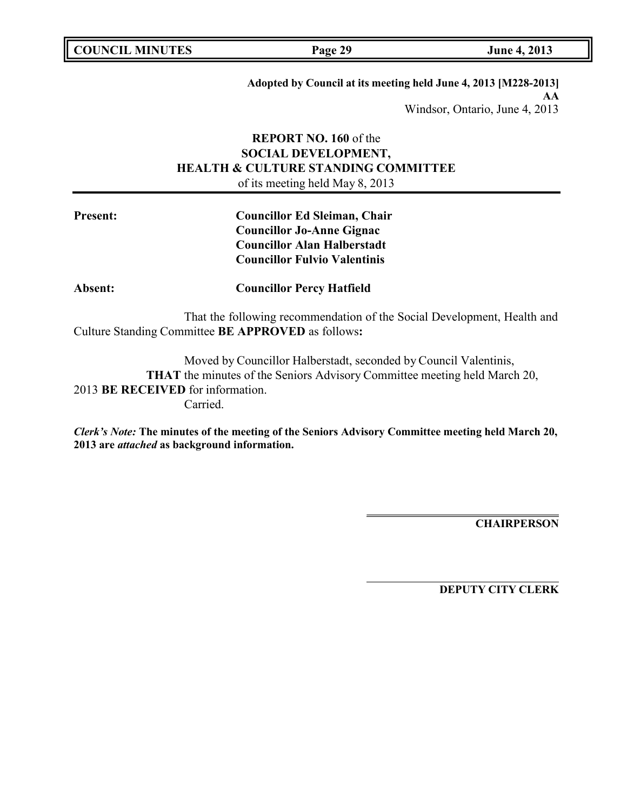| <b>COUNCIL MINUTES</b> |  |
|------------------------|--|
|------------------------|--|

**Adopted by Council at its meeting held June 4, 2013 [M228-2013] AA** Windsor, Ontario, June 4, 2013

# **REPORT NO. 160** of the **SOCIAL DEVELOPMENT, HEALTH & CULTURE STANDING COMMITTEE** of its meeting held May 8, 2013

**Present: Councillor Ed Sleiman, Chair Councillor Jo-Anne Gignac Councillor Alan Halberstadt Councillor Fulvio Valentinis**

**Absent: Councillor Percy Hatfield**

That the following recommendation of the Social Development, Health and Culture Standing Committee **BE APPROVED** as follows**:**

Moved by Councillor Halberstadt, seconded by Council Valentinis, **THAT** the minutes of the Seniors Advisory Committee meeting held March 20, 2013 **BE RECEIVED** for information. Carried.

*Clerk's Note:* **The minutes of the meeting of the Seniors Advisory Committee meeting held March 20, 2013 are** *attached* **as background information.**

**CHAIRPERSON**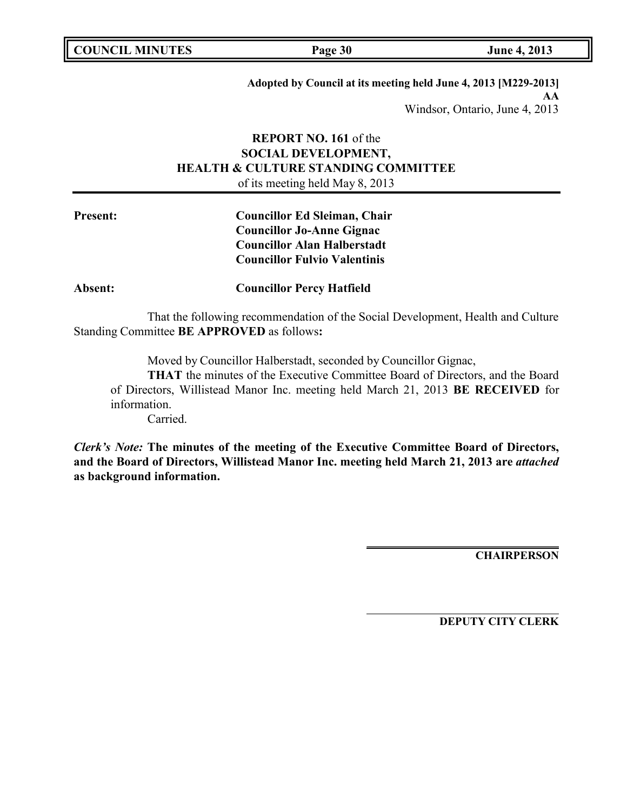| <b>COUNCIL MINUTES</b> |  |
|------------------------|--|
|------------------------|--|

**Adopted by Council at its meeting held June 4, 2013 [M229-2013] AA** Windsor, Ontario, June 4, 2013

# **REPORT NO. 161** of the **SOCIAL DEVELOPMENT, HEALTH & CULTURE STANDING COMMITTEE** of its meeting held May 8, 2013

**Present: Councillor Ed Sleiman, Chair Councillor Jo-Anne Gignac Councillor Alan Halberstadt Councillor Fulvio Valentinis**

**Absent: Councillor Percy Hatfield**

That the following recommendation of the Social Development, Health and Culture Standing Committee **BE APPROVED** as follows**:**

Moved by Councillor Halberstadt, seconded by Councillor Gignac,

**THAT** the minutes of the Executive Committee Board of Directors, and the Board of Directors, Willistead Manor Inc. meeting held March 21, 2013 **BE RECEIVED** for information.

Carried.

*Clerk's Note:* **The minutes of the meeting of the Executive Committee Board of Directors, and the Board of Directors, Willistead Manor Inc. meeting held March 21, 2013 are** *attached* **as background information.**

**CHAIRPERSON**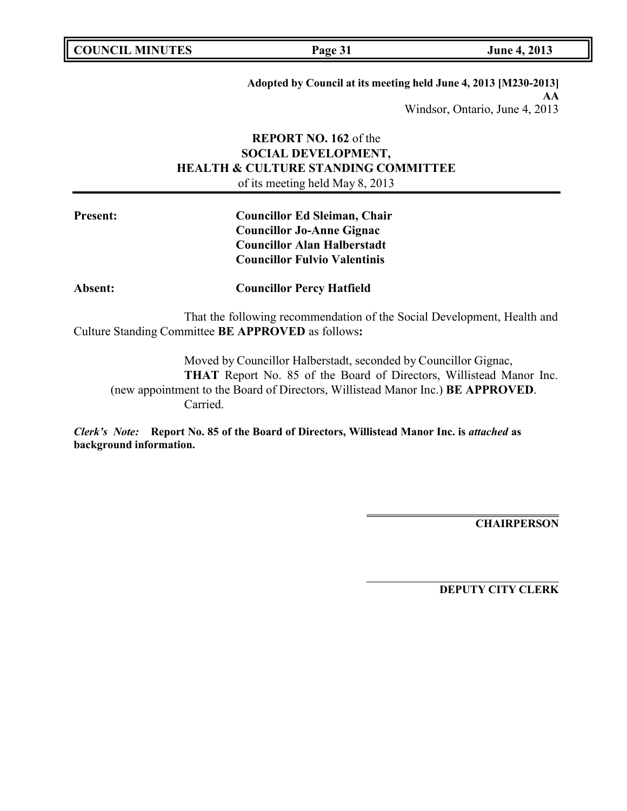| <b>COUNCIL MINUTES</b> |  |
|------------------------|--|
|------------------------|--|

**Adopted by Council at its meeting held June 4, 2013 [M230-2013] AA** Windsor, Ontario, June 4, 2013

# **REPORT NO. 162** of the **SOCIAL DEVELOPMENT, HEALTH & CULTURE STANDING COMMITTEE** of its meeting held May 8, 2013

**Present: Councillor Ed Sleiman, Chair Councillor Jo-Anne Gignac Councillor Alan Halberstadt Councillor Fulvio Valentinis**

**Absent: Councillor Percy Hatfield**

That the following recommendation of the Social Development, Health and Culture Standing Committee **BE APPROVED** as follows**:**

Moved by Councillor Halberstadt, seconded by Councillor Gignac, **THAT** Report No. 85 of the Board of Directors, Willistead Manor Inc. (new appointment to the Board of Directors, Willistead Manor Inc.) **BE APPROVED**. Carried.

*Clerk's Note:* **Report No. 85 of the Board of Directors, Willistead Manor Inc. is** *attached* **as background information.**

**CHAIRPERSON**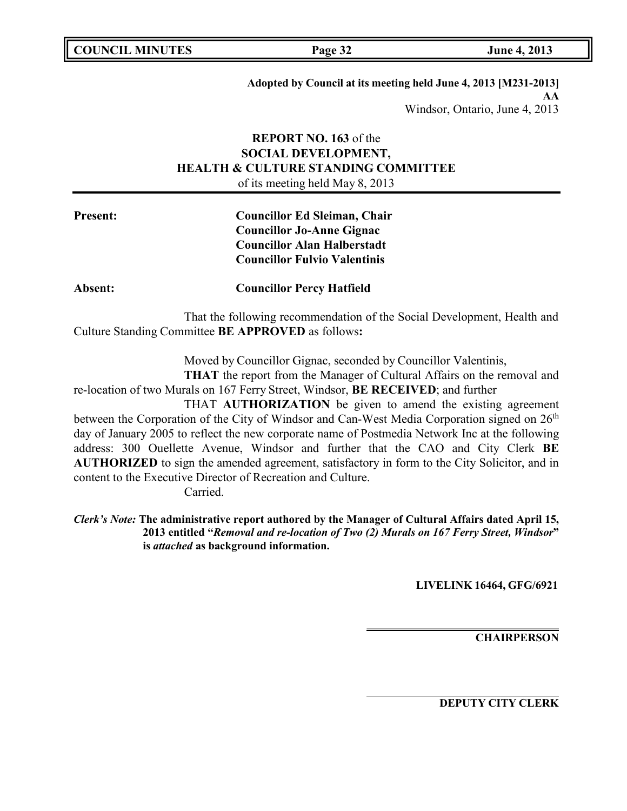| <b>COUNCIL MINUTES</b> |  |
|------------------------|--|
|------------------------|--|

**Adopted by Council at its meeting held June 4, 2013 [M231-2013] AA** Windsor, Ontario, June 4, 2013

## **REPORT NO. 163** of the **SOCIAL DEVELOPMENT, HEALTH & CULTURE STANDING COMMITTEE** of its meeting held May 8, 2013

# **Present: Councillor Ed Sleiman, Chair Councillor Jo-Anne Gignac Councillor Alan Halberstadt Councillor Fulvio Valentinis**

**Absent: Councillor Percy Hatfield**

That the following recommendation of the Social Development, Health and Culture Standing Committee **BE APPROVED** as follows**:**

Moved by Councillor Gignac, seconded by Councillor Valentinis,

**THAT** the report from the Manager of Cultural Affairs on the removal and re-location of two Murals on 167 Ferry Street, Windsor, **BE RECEIVED**; and further

THAT **AUTHORIZATION** be given to amend the existing agreement between the Corporation of the City of Windsor and Can-West Media Corporation signed on 26<sup>th</sup> day of January 2005 to reflect the new corporate name of Postmedia Network Inc at the following address: 300 Ouellette Avenue, Windsor and further that the CAO and City Clerk **BE AUTHORIZED** to sign the amended agreement, satisfactory in form to the City Solicitor, and in content to the Executive Director of Recreation and Culture.

Carried.

*Clerk's Note:* **The administrative report authored by the Manager of Cultural Affairs dated April 15, 2013 entitled "***Removal and re-location of Two (2) Murals on 167 Ferry Street, Windsor***" is** *attached* **as background information.**

**LIVELINK 16464, GFG/6921**

**CHAIRPERSON**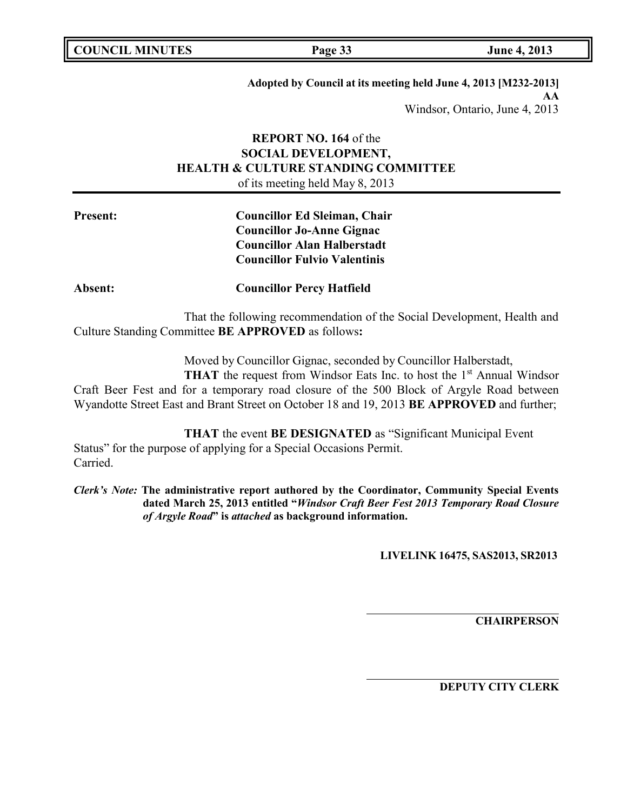|  | <b>COUNCIL MINUTES</b> |
|--|------------------------|
|--|------------------------|

**Adopted by Council at its meeting held June 4, 2013 [M232-2013] AA** Windsor, Ontario, June 4, 2013

# **REPORT NO. 164** of the **SOCIAL DEVELOPMENT, HEALTH & CULTURE STANDING COMMITTEE** of its meeting held May 8, 2013

**Present: Councillor Ed Sleiman, Chair Councillor Jo-Anne Gignac Councillor Alan Halberstadt Councillor Fulvio Valentinis**

**Absent: Councillor Percy Hatfield**

That the following recommendation of the Social Development, Health and Culture Standing Committee **BE APPROVED** as follows**:**

Moved by Councillor Gignac, seconded by Councillor Halberstadt,

**THAT** the request from Windsor Eats Inc. to host the 1<sup>st</sup> Annual Windsor Craft Beer Fest and for a temporary road closure of the 500 Block of Argyle Road between Wyandotte Street East and Brant Street on October 18 and 19, 2013 **BE APPROVED** and further;

**THAT** the event **BE DESIGNATED** as "Significant Municipal Event Status" for the purpose of applying for a Special Occasions Permit. Carried.

*Clerk's Note:* **The administrative report authored by the Coordinator, Community Special Events dated March 25, 2013 entitled "***Windsor Craft Beer Fest 2013 Temporary Road Closure of Argyle Road***" is** *attached* **as background information.**

**LIVELINK 16475, SAS2013, SR2013**

**CHAIRPERSON**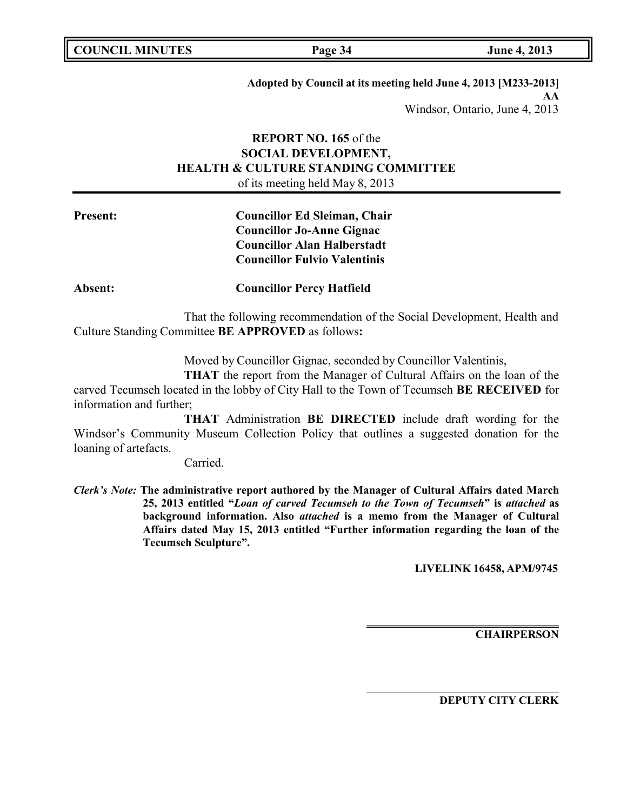| <b>COUNCIL MINUTES</b> |  |
|------------------------|--|
|------------------------|--|

**Adopted by Council at its meeting held June 4, 2013 [M233-2013] AA** Windsor, Ontario, June 4, 2013

# **REPORT NO. 165** of the **SOCIAL DEVELOPMENT, HEALTH & CULTURE STANDING COMMITTEE** of its meeting held May 8, 2013

**Present: Councillor Ed Sleiman, Chair Councillor Jo-Anne Gignac Councillor Alan Halberstadt Councillor Fulvio Valentinis**

**Absent: Councillor Percy Hatfield**

That the following recommendation of the Social Development, Health and Culture Standing Committee **BE APPROVED** as follows**:**

Moved by Councillor Gignac, seconded by Councillor Valentinis,

**THAT** the report from the Manager of Cultural Affairs on the loan of the carved Tecumseh located in the lobby of City Hall to the Town of Tecumseh **BE RECEIVED** for information and further;

**THAT** Administration **BE DIRECTED** include draft wording for the Windsor's Community Museum Collection Policy that outlines a suggested donation for the loaning of artefacts.

Carried.

*Clerk's Note:* **The administrative report authored by the Manager of Cultural Affairs dated March 25, 2013 entitled "***Loan of carved Tecumseh to the Town of Tecumseh***" is** *attached* **as background information. Also** *attached* **is a memo from the Manager of Cultural Affairs dated May 15, 2013 entitled "Further information regarding the loan of the Tecumseh Sculpture".**

**LIVELINK 16458, APM/9745**

**CHAIRPERSON**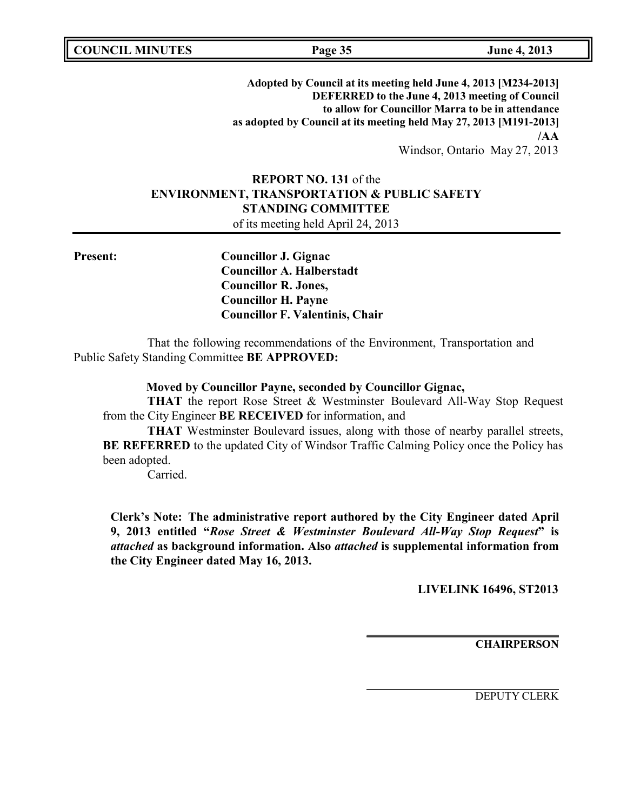**COUNCIL MINUTES Page 35 June 4, 2013**

**Adopted by Council at its meeting held June 4, 2013 [M234-2013] DEFERRED to the June 4, 2013 meeting of Council to allow for Councillor Marra to be in attendance as adopted by Council at its meeting held May 27, 2013 [M191-2013] /AA**

Windsor, Ontario May 27, 2013

# **REPORT NO. 131** of the **ENVIRONMENT, TRANSPORTATION & PUBLIC SAFETY STANDING COMMITTEE** of its meeting held April 24, 2013

**Present: Councillor J. Gignac Councillor A. Halberstadt Councillor R. Jones, Councillor H. Payne Councillor F. Valentinis, Chair**

That the following recommendations of the Environment, Transportation and Public Safety Standing Committee **BE APPROVED:**

### **Moved by Councillor Payne, seconded by Councillor Gignac,**

**THAT** the report Rose Street & Westminster Boulevard All-Way Stop Request from the City Engineer **BE RECEIVED** for information, and

**THAT** Westminster Boulevard issues, along with those of nearby parallel streets, **BE REFERRED** to the updated City of Windsor Traffic Calming Policy once the Policy has been adopted.

Carried.

**Clerk's Note: The administrative report authored by the City Engineer dated April 9, 2013 entitled "***Rose Street & Westminster Boulevard All-Way Stop Request***" is** *attached* **as background information. Also** *attached* **is supplemental information from the City Engineer dated May 16, 2013.**

**LIVELINK 16496, ST2013**

**CHAIRPERSON**

DEPUTY CLERK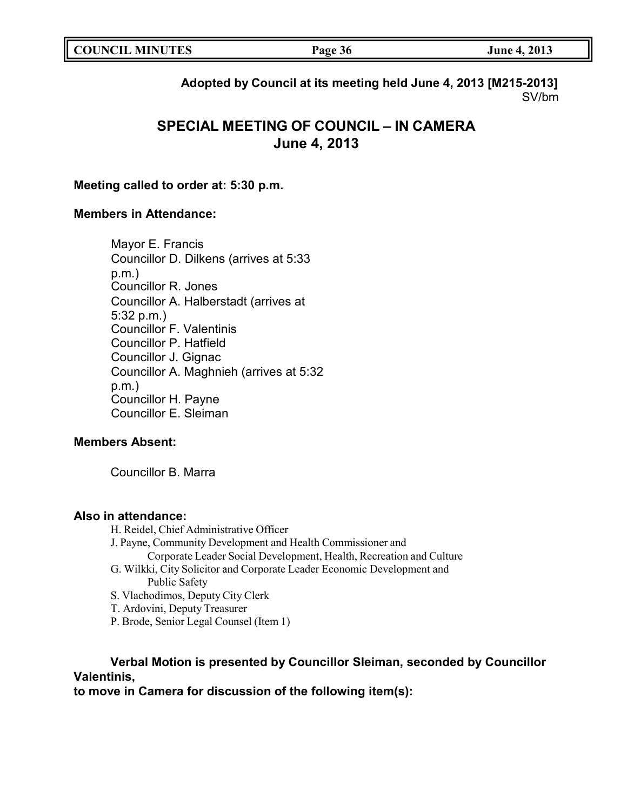**Adopted by Council at its meeting held June 4, 2013 [M215-2013]** SV/bm

# **SPECIAL MEETING OF COUNCIL – IN CAMERA June 4, 2013**

## **Meeting called to order at: 5:30 p.m.**

## **Members in Attendance:**

Mayor E. Francis Councillor D. Dilkens (arrives at 5:33 p.m.) Councillor R. Jones Councillor A. Halberstadt (arrives at 5:32 p.m.) Councillor F. Valentinis Councillor P. Hatfield Councillor J. Gignac Councillor A. Maghnieh (arrives at 5:32 p.m.) Councillor H. Payne Councillor E. Sleiman

## **Members Absent:**

Councillor B. Marra

### **Also in attendance:**

- H. Reidel, Chief Administrative Officer
- J. Payne, Community Development and Health Commissioner and
	- Corporate Leader Social Development, Health, Recreation and Culture
- G. Wilkki, City Solicitor and Corporate Leader Economic Development and Public Safety
- S. Vlachodimos, Deputy City Clerk
- T. Ardovini, Deputy Treasurer
- P. Brode, Senior Legal Counsel (Item 1)

# **Verbal Motion is presented by Councillor Sleiman, seconded by Councillor Valentinis,**

**to move in Camera for discussion of the following item(s):**